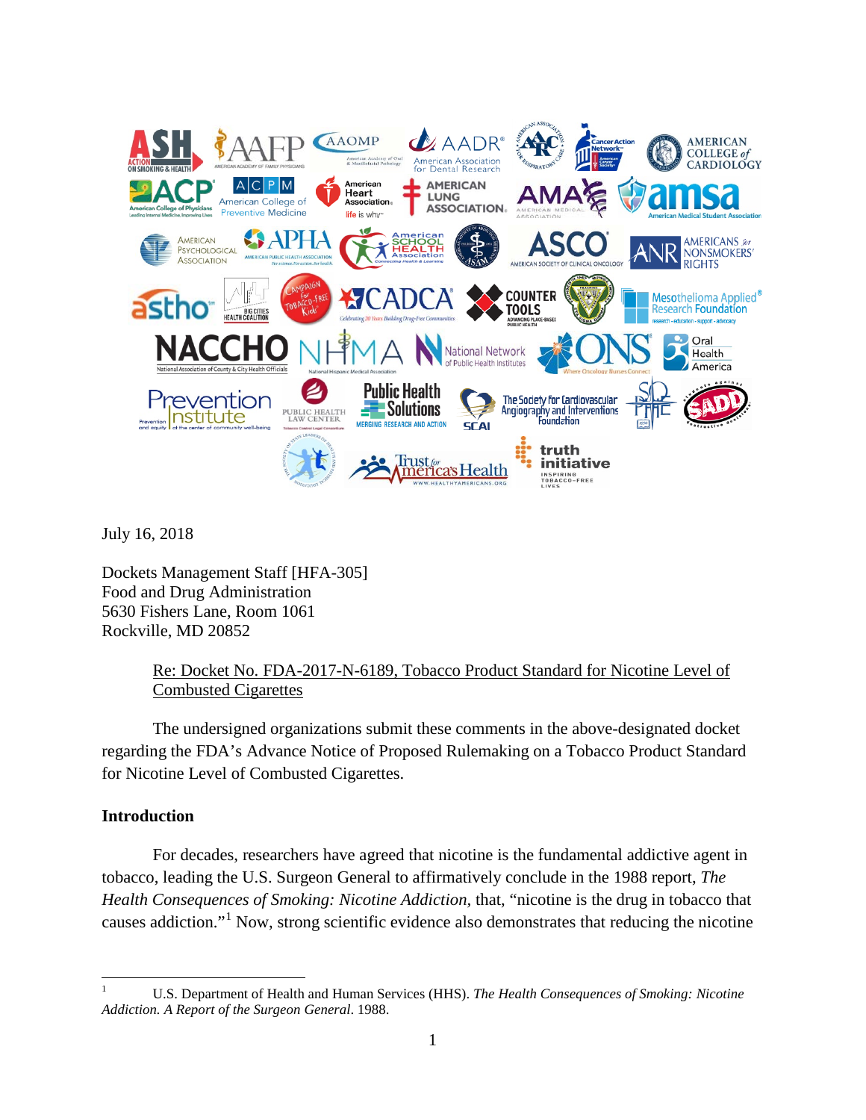

July 16, 2018

Dockets Management Staff [HFA-305] Food and Drug Administration 5630 Fishers Lane, Room 1061 Rockville, MD 20852

# Re: Docket No. FDA-2017-N-6189, Tobacco Product Standard for Nicotine Level of Combusted Cigarettes

The undersigned organizations submit these comments in the above-designated docket regarding the FDA's Advance Notice of Proposed Rulemaking on a Tobacco Product Standard for Nicotine Level of Combusted Cigarettes.

## **Introduction**

For decades, researchers have agreed that nicotine is the fundamental addictive agent in tobacco, leading the U.S. Surgeon General to affirmatively conclude in the 1988 report, *The Health Consequences of Smoking: Nicotine Addiction,* that, "nicotine is the drug in tobacco that causes addiction."[1](#page-0-0) Now, strong scientific evidence also demonstrates that reducing the nicotine

<span id="page-0-0"></span><sup>1</sup> U.S. Department of Health and Human Services (HHS). *The Health Consequences of Smoking: Nicotine Addiction. A Report of the Surgeon General*. 1988.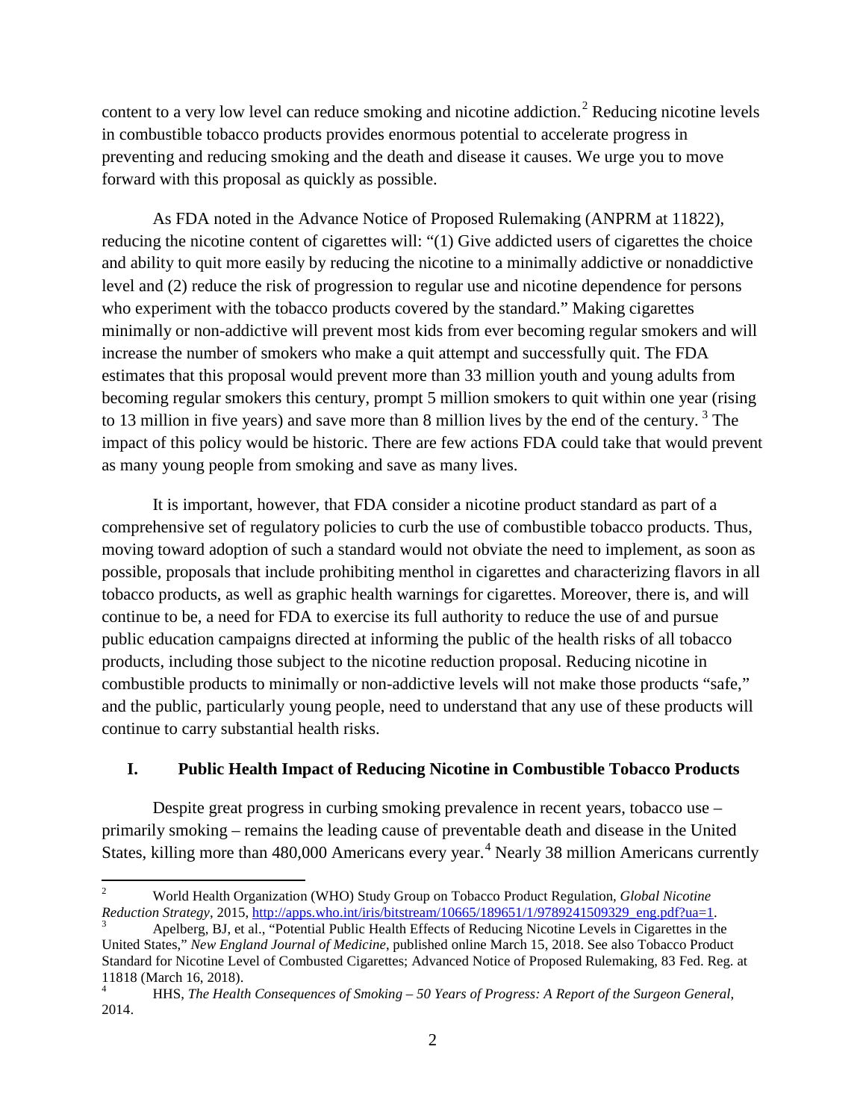content to a very low level can reduce smoking and nicotine addiction.<sup>[2](#page-1-0)</sup> Reducing nicotine levels in combustible tobacco products provides enormous potential to accelerate progress in preventing and reducing smoking and the death and disease it causes. We urge you to move forward with this proposal as quickly as possible.

As FDA noted in the Advance Notice of Proposed Rulemaking (ANPRM at 11822), reducing the nicotine content of cigarettes will: "(1) Give addicted users of cigarettes the choice and ability to quit more easily by reducing the nicotine to a minimally addictive or nonaddictive level and (2) reduce the risk of progression to regular use and nicotine dependence for persons who experiment with the tobacco products covered by the standard." Making cigarettes minimally or non-addictive will prevent most kids from ever becoming regular smokers and will increase the number of smokers who make a quit attempt and successfully quit. The FDA estimates that this proposal would prevent more than 33 million youth and young adults from becoming regular smokers this century, prompt 5 million smokers to quit within one year (rising to 1[3](#page-1-1) million in five years) and save more than 8 million lives by the end of the century.<sup>3</sup> The impact of this policy would be historic. There are few actions FDA could take that would prevent as many young people from smoking and save as many lives.

It is important, however, that FDA consider a nicotine product standard as part of a comprehensive set of regulatory policies to curb the use of combustible tobacco products. Thus, moving toward adoption of such a standard would not obviate the need to implement, as soon as possible, proposals that include prohibiting menthol in cigarettes and characterizing flavors in all tobacco products, as well as graphic health warnings for cigarettes. Moreover, there is, and will continue to be, a need for FDA to exercise its full authority to reduce the use of and pursue public education campaigns directed at informing the public of the health risks of all tobacco products, including those subject to the nicotine reduction proposal. Reducing nicotine in combustible products to minimally or non-addictive levels will not make those products "safe," and the public, particularly young people, need to understand that any use of these products will continue to carry substantial health risks.

## **I. Public Health Impact of Reducing Nicotine in Combustible Tobacco Products**

Despite great progress in curbing smoking prevalence in recent years, tobacco use – primarily smoking – remains the leading cause of preventable death and disease in the United States, killing more than [4](#page-1-2)80,000 Americans every year.<sup>4</sup> Nearly 38 million Americans currently

<span id="page-1-0"></span><sup>&</sup>lt;sup>2</sup> World Health Organization (WHO) Study Group on Tobacco Product Regulation, *Global Nicotine*<br>Reduction Strategy, 2015, <u>http://apps.who.int/iris/bitstream/10665/189651/1/9789241509329\_eng.pdf?ua=1</u>.

<span id="page-1-1"></span>Apelberg, BJ, et al., "Potential Public Health Effects of Reducing Nicotine Levels in Cigarettes in the United States," *New England Journal of Medicine*, published online March 15, 2018. See also Tobacco Product Standard for Nicotine Level of Combusted Cigarettes; Advanced Notice of Proposed Rulemaking, 83 Fed. Reg. at  $11818$  (March 16, 2018).

<span id="page-1-2"></span><sup>4</sup> HHS, *The Health Consequences of Smoking – 50 Years of Progress: A Report of the Surgeon General*, 2014.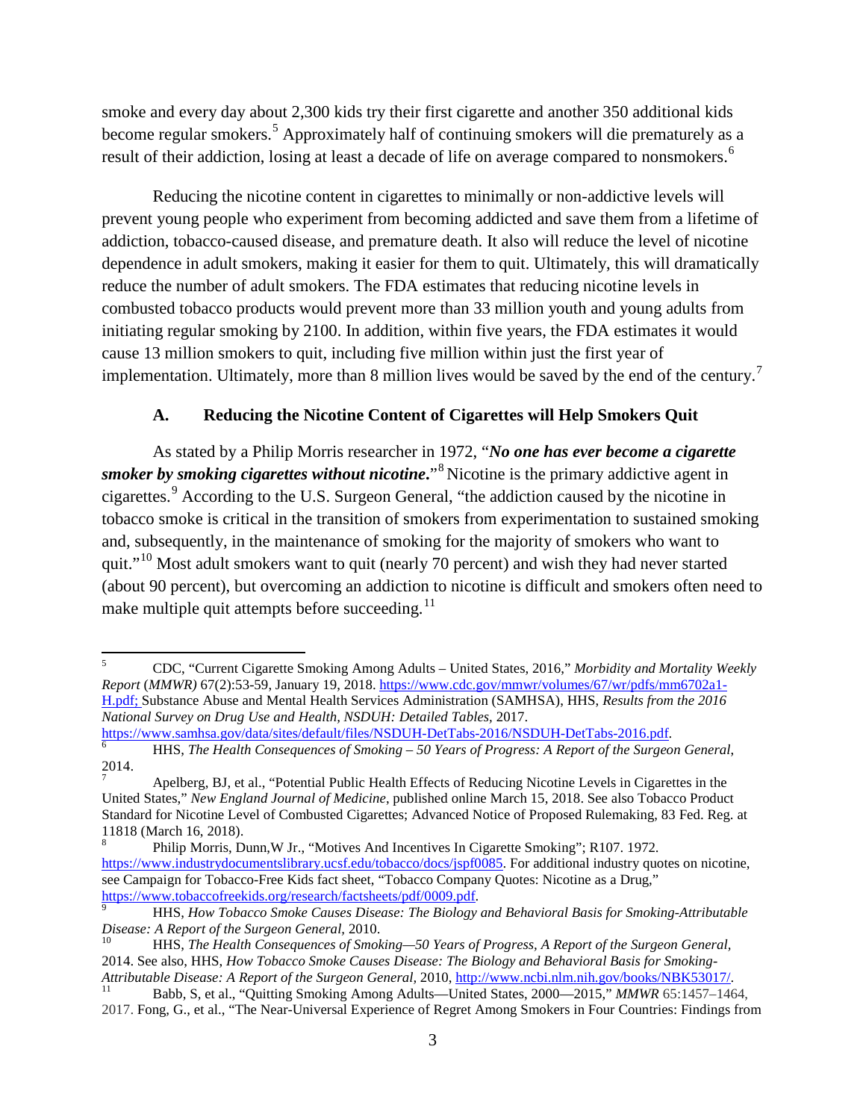smoke and every day about 2,300 kids try their first cigarette and another 350 additional kids become regular smokers.[5](#page-2-0) Approximately half of continuing smokers will die prematurely as a result of their addiction, losing at least a decade of life on average compared to nonsmokers.<sup>[6](#page-2-1)</sup>

Reducing the nicotine content in cigarettes to minimally or non-addictive levels will prevent young people who experiment from becoming addicted and save them from a lifetime of addiction, tobacco-caused disease, and premature death. It also will reduce the level of nicotine dependence in adult smokers, making it easier for them to quit. Ultimately, this will dramatically reduce the number of adult smokers. The FDA estimates that reducing nicotine levels in combusted tobacco products would prevent more than 33 million youth and young adults from initiating regular smoking by 2100. In addition, within five years, the FDA estimates it would cause 13 million smokers to quit, including five million within just the first year of implementation. Ultimately, more than 8 million lives would be saved by the end of the century.<sup>[7](#page-2-2)</sup>

# **A. Reducing the Nicotine Content of Cigarettes will Help Smokers Quit**

As stated by a Philip Morris researcher in 1972, "*No one has ever become a cigarette smoker by smoking cigarettes without nicotine***.**"[8](#page-2-3) Nicotine is the primary addictive agent in cigarettes.[9](#page-2-4) According to the U.S. Surgeon General, "the addiction caused by the nicotine in tobacco smoke is critical in the transition of smokers from experimentation to sustained smoking and, subsequently, in the maintenance of smoking for the majority of smokers who want to quit."<sup>[10](#page-2-5)</sup> Most adult smokers want to quit (nearly 70 percent) and wish they had never started (about 90 percent), but overcoming an addiction to nicotine is difficult and smokers often need to make multiple quit attempts before succeeding. $^{11}$  $^{11}$  $^{11}$ 

<span id="page-2-0"></span><sup>5</sup> CDC, "Current Cigarette Smoking Among Adults – United States, 2016," *Morbidity and Mortality Weekly Report* (*MMWR)* 67(2):53-59, January 19, 2018. [https://www.cdc.gov/mmwr/volumes/67/wr/pdfs/mm6702a1-](https://www.cdc.gov/mmwr/volumes/67/wr/pdfs/mm6702a1-H.pdf) [H.pdf;](https://www.cdc.gov/mmwr/volumes/67/wr/pdfs/mm6702a1-H.pdf) Substance Abuse and Mental Health Services Administration (SAMHSA), HHS, *Results from the 2016 National Survey on Drug Use and Health, NSDUH: Detailed Tables,* 2017.

<span id="page-2-1"></span>[https://www.samhsa.gov/data/sites/default/files/NSDUH-DetTabs-2016/NSDUH-DetTabs-2016.pdf.](https://www.samhsa.gov/data/sites/default/files/NSDUH-DetTabs-2016/NSDUH-DetTabs-2016.pdf)<br>
HHS, *The Health Consequences of Smoking – 50 Years of Progress: A Report of the Surgeon General*,<br>
2014.

<span id="page-2-2"></span><sup>2014.</sup> <sup>7</sup> Apelberg, BJ, et al., "Potential Public Health Effects of Reducing Nicotine Levels in Cigarettes in the United States," *New England Journal of Medicine*, published online March 15, 2018. See also Tobacco Product Standard for Nicotine Level of Combusted Cigarettes; Advanced Notice of Proposed Rulemaking, 83 Fed. Reg. at 11818 (March 16, 2018).

<span id="page-2-3"></span><sup>8</sup> Philip Morris, Dunn,W Jr., "Motives And Incentives In Cigarette Smoking"; R107. 1972. [https://www.industrydocumentslibrary.ucsf.edu/tobacco/docs/jspf0085.](https://www.industrydocumentslibrary.ucsf.edu/tobacco/docs/jspf0085) For additional industry quotes on nicotine, see Campaign for Tobacco-Free Kids fact sheet, "Tobacco Company Quotes: Nicotine as a Drug,"<br>https://www.tobaccofreekids.org/research/factsheets/pdf/0009.pdf.

<span id="page-2-4"></span>[https://www.tobaccofreekids.org/research/factsheets/pdf/0009.pdf.](https://www.tobaccofreekids.org/research/factsheets/pdf/0009.pdf) [9](https://www.tobaccofreekids.org/research/factsheets/pdf/0009.pdf) HHS, *How Tobacco Smoke Causes Disease: The Biology and Behavioral Basis for Smoking-Attributable Disease: A Report of the Surgeon General, 2010.*<br><sup>10</sup> HHS, *The Health Consequences of Smoking—50 Years of Progress, A Report of the Surgeon General,* 

<span id="page-2-5"></span><sup>2014.</sup> See also, HHS, *How Tobacco Smoke Causes Disease: The Biology and Behavioral Basis for Smoking-*

<span id="page-2-6"></span>*Attributable Disease: A Report of the Surgeon General, 2010, [http://www.ncbi.nlm.nih.gov/books/NBK53017/.](http://www.ncbi.nlm.nih.gov/books/NBK53017/)*<br><sup>11</sup> Babb, S, et al., "Quitting Smoking Among Adults—United States, 2000—2015," *MMWR* 65:1457–1464, 2017. Fong, G., et al., "The Near-Universal Experience of Regret Among Smokers in Four Countries: Findings from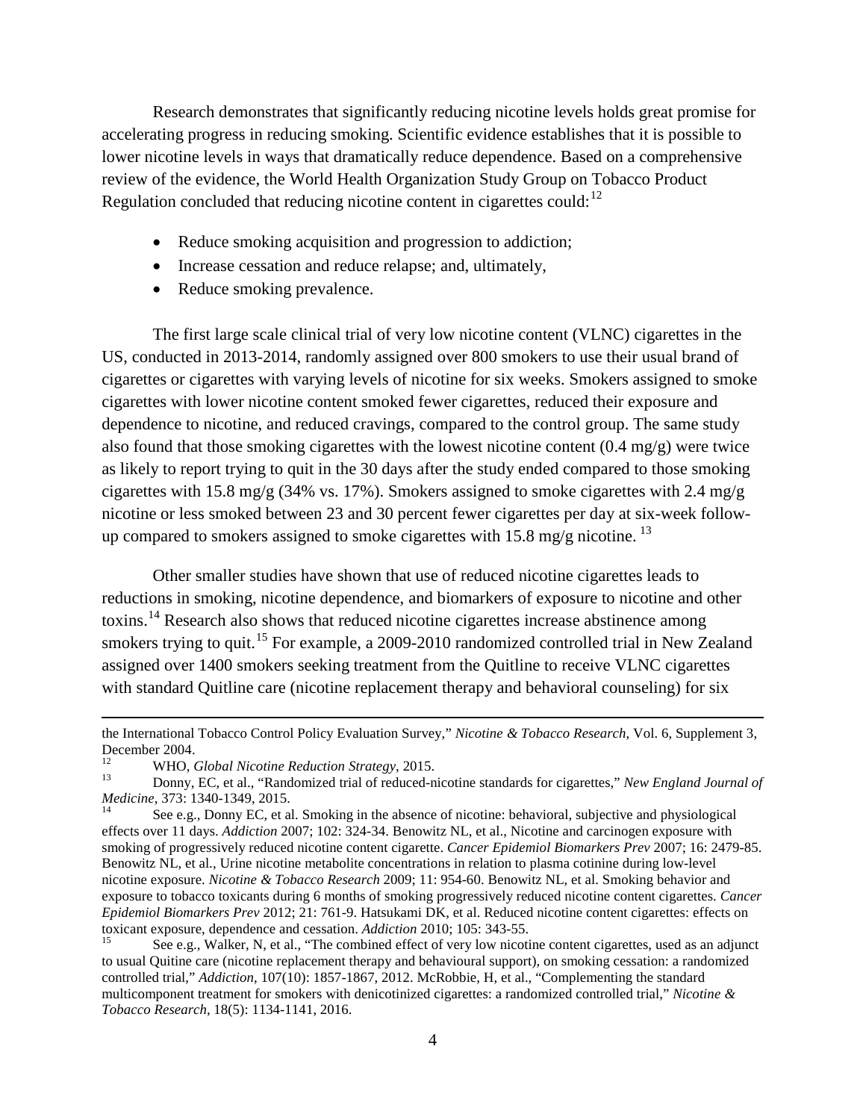Research demonstrates that significantly reducing nicotine levels holds great promise for accelerating progress in reducing smoking. Scientific evidence establishes that it is possible to lower nicotine levels in ways that dramatically reduce dependence. Based on a comprehensive review of the evidence, the World Health Organization Study Group on Tobacco Product Regulation concluded that reducing nicotine content in cigarettes could: $12$ 

- Reduce smoking acquisition and progression to addiction;
- Increase cessation and reduce relapse; and, ultimately,
- Reduce smoking prevalence.

The first large scale clinical trial of very low nicotine content (VLNC) cigarettes in the US, conducted in 2013-2014, randomly assigned over 800 smokers to use their usual brand of cigarettes or cigarettes with varying levels of nicotine for six weeks. Smokers assigned to smoke cigarettes with lower nicotine content smoked fewer cigarettes, reduced their exposure and dependence to nicotine, and reduced cravings, compared to the control group. The same study also found that those smoking cigarettes with the lowest nicotine content (0.4 mg/g) were twice as likely to report trying to quit in the 30 days after the study ended compared to those smoking cigarettes with 15.8 mg/g (34% vs. 17%). Smokers assigned to smoke cigarettes with 2.4 mg/g nicotine or less smoked between 23 and 30 percent fewer cigarettes per day at six-week follow-up compared to smokers assigned to smoke cigarettes with 15.8 mg/g nicotine.<sup>[13](#page-3-1)</sup>

Other smaller studies have shown that use of reduced nicotine cigarettes leads to reductions in smoking, nicotine dependence, and biomarkers of exposure to nicotine and other toxins.<sup>[14](#page-3-2)</sup> Research also shows that reduced nicotine cigarettes increase abstinence among smokers trying to quit.<sup>[15](#page-3-3)</sup> For example, a 2009-2010 randomized controlled trial in New Zealand assigned over 1400 smokers seeking treatment from the Quitline to receive VLNC cigarettes with standard Quitline care (nicotine replacement therapy and behavioral counseling) for six

 $\overline{\phantom{a}}$ 

the International Tobacco Control Policy Evaluation Survey," *Nicotine & Tobacco Research*, Vol. 6, Supplement 3, December 2004.

<span id="page-3-1"></span><span id="page-3-0"></span><sup>12</sup> WHO, *Global Nicotine Reduction Strategy*, 2015. <sup>13</sup> Donny, EC, et al., "Randomized trial of reduced-nicotine standards for cigarettes," *New England Journal of Medicine*, 373: 1340-1349, 2015.<br><sup>14</sup> See e.g., Donny EC, et al. Smoking in the absence of nicotine: behavioral, subjective and physiological

<span id="page-3-2"></span>effects over 11 days. *Addiction* 2007; 102: 324-34. Benowitz NL, et al., Nicotine and carcinogen exposure with smoking of progressively reduced nicotine content cigarette. *Cancer Epidemiol Biomarkers Prev* 2007; 16: 2479-85. Benowitz NL, et al., Urine nicotine metabolite concentrations in relation to plasma cotinine during low-level nicotine exposure. *Nicotine & Tobacco Research* 2009; 11: 954-60. Benowitz NL, et al. Smoking behavior and exposure to tobacco toxicants during 6 months of smoking progressively reduced nicotine content cigarettes. *Cancer Epidemiol Biomarkers Prev* 2012; 21: 761-9. Hatsukami DK, et al. Reduced nicotine content cigarettes: effects on toxicant exposure, dependence and cessation. *Addiction* 2010; 105: 343-55.<br><sup>15</sup> See e.g., Walker, N, et al., "The combined effect of very low nicotine content cigarettes, used as an adjunct

<span id="page-3-3"></span>to usual Quitine care (nicotine replacement therapy and behavioural support), on smoking cessation: a randomized controlled trial," *Addiction*, 107(10): 1857-1867, 2012. McRobbie, H, et al., "Complementing the standard multicomponent treatment for smokers with denicotinized cigarettes: a randomized controlled trial," *Nicotine & Tobacco Research*, 18(5): 1134-1141, 2016.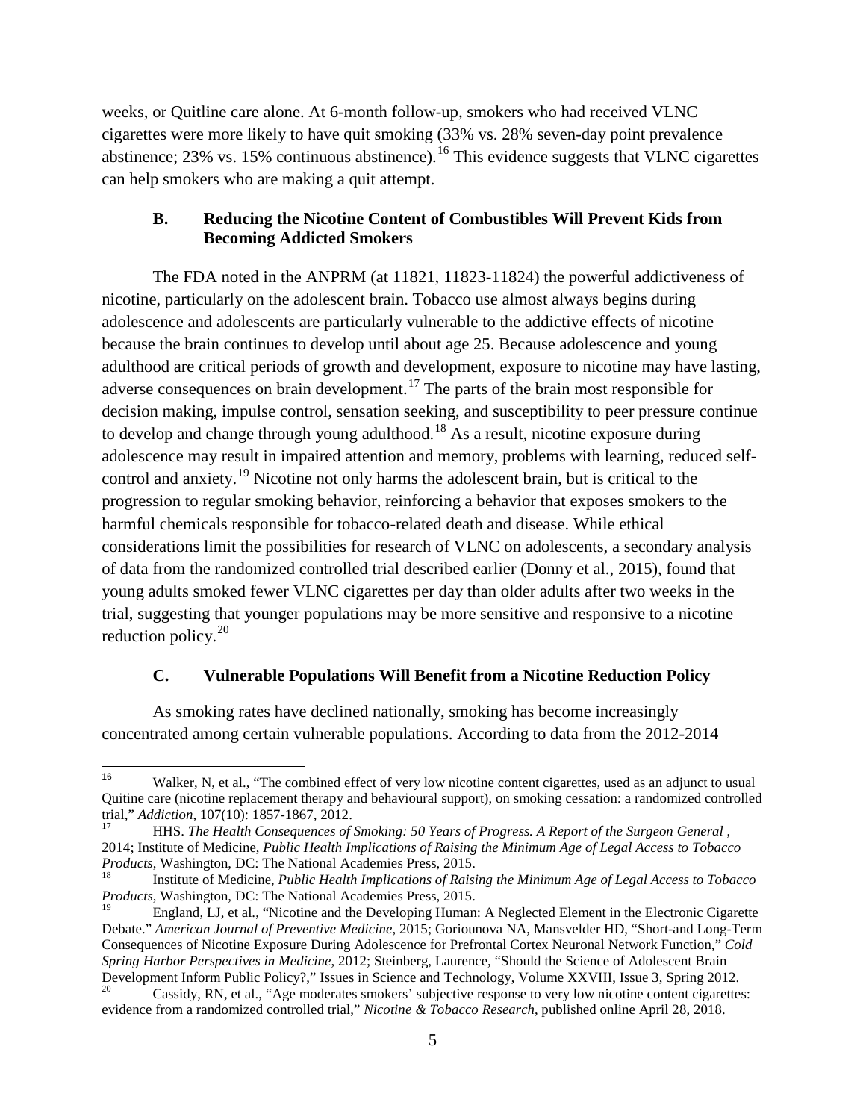weeks, or Quitline care alone. At 6-month follow-up, smokers who had received VLNC cigarettes were more likely to have quit smoking (33% vs. 28% seven-day point prevalence abstinence;  $23\%$  vs. 15% continuous abstinence).<sup>[16](#page-4-0)</sup> This evidence suggests that VLNC cigarettes can help smokers who are making a quit attempt.

#### **B. Reducing the Nicotine Content of Combustibles Will Prevent Kids from Becoming Addicted Smokers**

The FDA noted in the ANPRM (at 11821, 11823-11824) the powerful addictiveness of nicotine, particularly on the adolescent brain. Tobacco use almost always begins during adolescence and adolescents are particularly vulnerable to the addictive effects of nicotine because the brain continues to develop until about age 25. Because adolescence and young adulthood are critical periods of growth and development, exposure to nicotine may have lasting, adverse consequences on brain development.<sup>[17](#page-4-1)</sup> The parts of the brain most responsible for decision making, impulse control, sensation seeking, and susceptibility to peer pressure continue to develop and change through young adulthood.<sup>[18](#page-4-2)</sup> As a result, nicotine exposure during adolescence may result in impaired attention and memory, problems with learning, reduced selfcontrol and anxiety.[19](#page-4-3) Nicotine not only harms the adolescent brain, but is critical to the progression to regular smoking behavior, reinforcing a behavior that exposes smokers to the harmful chemicals responsible for tobacco-related death and disease. While ethical considerations limit the possibilities for research of VLNC on adolescents, a secondary analysis of data from the randomized controlled trial described earlier (Donny et al., 2015), found that young adults smoked fewer VLNC cigarettes per day than older adults after two weeks in the trial, suggesting that younger populations may be more sensitive and responsive to a nicotine reduction policy. $20$ 

#### **C. Vulnerable Populations Will Benefit from a Nicotine Reduction Policy**

As smoking rates have declined nationally, smoking has become increasingly concentrated among certain vulnerable populations. According to data from the 2012-2014

<span id="page-4-0"></span><sup>16</sup> Walker, N, et al., "The combined effect of very low nicotine content cigarettes, used as an adjunct to usual Quitine care (nicotine replacement therapy and behavioural support), on smoking cessation: a randomized controlled trial," Addiction, 107(10): 1857-1867, 2012.

<span id="page-4-1"></span>trial," *Addiction*, 107(10): 1857-1867, 2012. <sup>17</sup> HHS. *The Health Consequences of Smoking: 50 Years of Progress. A Report of the Surgeon General* , 2014; Institute of Medicine, *Public Health Implications of Raising the Minimum Age of Legal Access to Tobacco* 

<span id="page-4-2"></span>Institute of Medicine, Public Health Implications of Raising the Minimum Age of Legal Access to Tobacco *Products*, Washington, DC: The National Academies Press, 2015.

<span id="page-4-3"></span><sup>19</sup> England, LJ, et al., "Nicotine and the Developing Human: A Neglected Element in the Electronic Cigarette Debate." *American Journal of Preventive Medicine*, 2015; Goriounova NA, Mansvelder HD, "Short-and Long-Term Consequences of Nicotine Exposure During Adolescence for Prefrontal Cortex Neuronal Network Function," *Cold Spring Harbor Perspectives in Medicine*, 2012; Steinberg, Laurence, "Should the Science of Adolescent Brain Development Inform Public Policy?," Issues in Science and Technology, Volume XXVIII, Issue 3, Spring 2012.<br><sup>20</sup> Cassidy, RN, et al., "Age moderates smokers' subjective response to very low nicotine content cigarettes:

<span id="page-4-4"></span>evidence from a randomized controlled trial," *Nicotine & Tobacco Research*, published online April 28, 2018.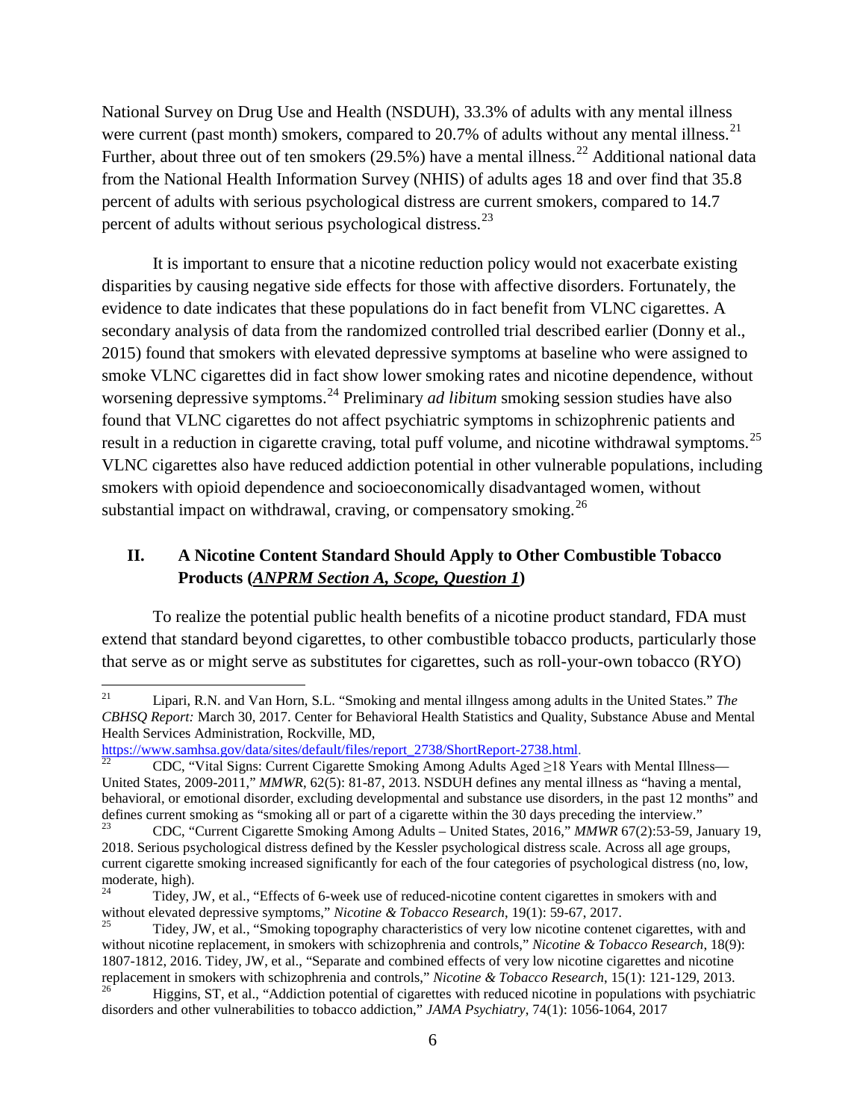National Survey on Drug Use and Health (NSDUH), 33.3% of adults with any mental illness were current (past month) smokers, compared to  $20.7\%$  of adults without any mental illness.<sup>[21](#page-5-0)</sup> Further, about three out of ten smokers  $(29.5\%)$  have a mental illness.<sup>[22](#page-5-1)</sup> Additional national data from the National Health Information Survey (NHIS) of adults ages 18 and over find that 35.8 percent of adults with serious psychological distress are current smokers, compared to 14.7 percent of adults without serious psychological distress.<sup>[23](#page-5-2)</sup>

It is important to ensure that a nicotine reduction policy would not exacerbate existing disparities by causing negative side effects for those with affective disorders. Fortunately, the evidence to date indicates that these populations do in fact benefit from VLNC cigarettes. A secondary analysis of data from the randomized controlled trial described earlier (Donny et al., 2015) found that smokers with elevated depressive symptoms at baseline who were assigned to smoke VLNC cigarettes did in fact show lower smoking rates and nicotine dependence, without worsening depressive symptoms.[24](#page-5-3) Preliminary *ad libitum* smoking session studies have also found that VLNC cigarettes do not affect psychiatric symptoms in schizophrenic patients and result in a reduction in cigarette craving, total puff volume, and nicotine withdrawal symptoms.<sup>[25](#page-5-4)</sup> VLNC cigarettes also have reduced addiction potential in other vulnerable populations, including smokers with opioid dependence and socioeconomically disadvantaged women, without substantial impact on withdrawal, craving, or compensatory smoking.<sup>[26](#page-5-5)</sup>

# **II. A Nicotine Content Standard Should Apply to Other Combustible Tobacco Products (***ANPRM Section A, Scope, Question 1***)**

To realize the potential public health benefits of a nicotine product standard, FDA must extend that standard beyond cigarettes, to other combustible tobacco products, particularly those that serve as or might serve as substitutes for cigarettes, such as roll-your-own tobacco (RYO)

<span id="page-5-0"></span><sup>21</sup> Lipari, R.N. and Van Horn, S.L. "Smoking and mental illngess among adults in the United States." *The CBHSQ Report:* March 30, 2017. Center for Behavioral Health Statistics and Quality, Substance Abuse and Mental Health Services Administration, Rockville, MD,<br>https://www.samhsa.gov/data/sites/default/files/report 2738/ShortReport-2738.html.

<span id="page-5-1"></span>CDC, "Vital Signs: Current Cigarette Smoking Among Adults Aged ≥18 Years with Mental Illness— United States, 2009-2011," *MMWR*, 62(5): 81-87, 2013. NSDUH defines any mental illness as "having a mental, behavioral, or emotional disorder, excluding developmental and substance use disorders, in the past 12 months" and defines current smoking as "smoking all or part of a cigarette within the 30 days preceding the interview."

<span id="page-5-2"></span><sup>23</sup> CDC, "Current Cigarette Smoking Among Adults – United States, 2016," *MMWR* 67(2):53-59, January 19, 2018. Serious psychological distress defined by the Kessler psychological distress scale. Across all age groups, current cigarette smoking increased significantly for each of the four categories of psychological distress (no, low, moderate, high).

<span id="page-5-3"></span><sup>24</sup> Tidey, JW, et al., "Effects of 6-week use of reduced-nicotine content cigarettes in smokers with and without elevated depressive symptoms," *Nicotine & Tobacco Research*, 19(1): 59-67, 2017.<br><sup>25</sup> Tidey, JW, et al., "Smoking topography characteristics of very low nicotine contenet cigarettes, with and

<span id="page-5-4"></span>without nicotine replacement, in smokers with schizophrenia and controls," *Nicotine & Tobacco Research*, 18(9): 1807-1812, 2016. Tidey, JW, et al., "Separate and combined effects of very low nicotine cigarettes and nicotine replacement in smokers with schizophrenia and controls," Nicotine & Tobacco Research, 15(1): 121-129, 2013.

<span id="page-5-5"></span>Higgins, ST, et al., "Addiction potential of cigarettes with reduced nicotine in populations with psychiatric disorders and other vulnerabilities to tobacco addiction," *JAMA Psychiatry*, 74(1): 1056-1064, 2017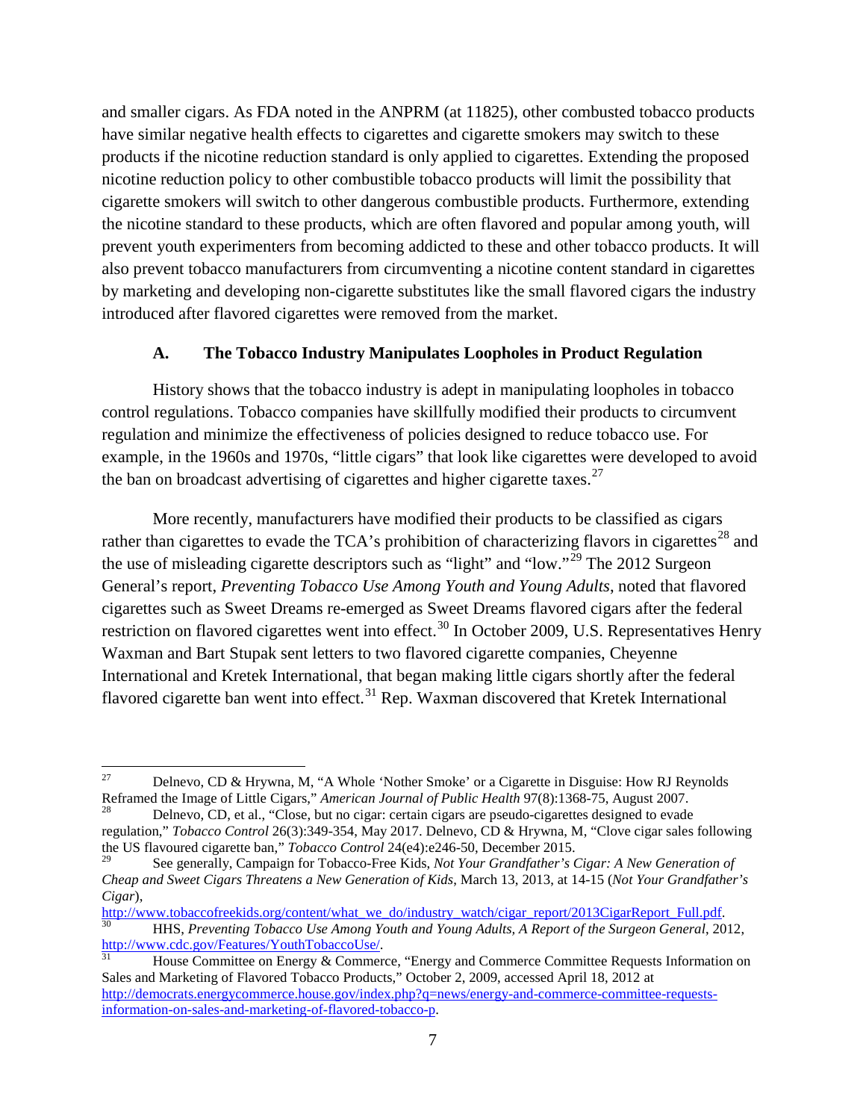and smaller cigars. As FDA noted in the ANPRM (at 11825), other combusted tobacco products have similar negative health effects to cigarettes and cigarette smokers may switch to these products if the nicotine reduction standard is only applied to cigarettes. Extending the proposed nicotine reduction policy to other combustible tobacco products will limit the possibility that cigarette smokers will switch to other dangerous combustible products. Furthermore, extending the nicotine standard to these products, which are often flavored and popular among youth, will prevent youth experimenters from becoming addicted to these and other tobacco products. It will also prevent tobacco manufacturers from circumventing a nicotine content standard in cigarettes by marketing and developing non-cigarette substitutes like the small flavored cigars the industry introduced after flavored cigarettes were removed from the market.

## **A. The Tobacco Industry Manipulates Loopholes in Product Regulation**

History shows that the tobacco industry is adept in manipulating loopholes in tobacco control regulations. Tobacco companies have skillfully modified their products to circumvent regulation and minimize the effectiveness of policies designed to reduce tobacco use. For example, in the 1960s and 1970s, "little cigars" that look like cigarettes were developed to avoid the ban on broadcast advertising of cigarettes and higher cigarette taxes.<sup>[27](#page-6-0)</sup>

More recently, manufacturers have modified their products to be classified as cigars rather than cigarettes to evade the  $TCA$ 's prohibition of characterizing flavors in cigarettes<sup>[28](#page-6-1)</sup> and the use of misleading cigarette descriptors such as "light" and "low."[29](#page-6-2) The 2012 Surgeon General's report, *Preventing Tobacco Use Among Youth and Young Adults*, noted that flavored cigarettes such as Sweet Dreams re-emerged as Sweet Dreams flavored cigars after the federal restriction on flavored cigarettes went into effect.<sup>[30](#page-6-3)</sup> In October 2009, U.S. Representatives Henry Waxman and Bart Stupak sent letters to two flavored cigarette companies, Cheyenne International and Kretek International, that began making little cigars shortly after the federal flavored cigarette ban went into effect.<sup>[31](#page-6-4)</sup> Rep. Waxman discovered that Kretek International

<span id="page-6-0"></span><sup>&</sup>lt;sup>27</sup> Delnevo, CD & Hrywna, M, "A Whole 'Nother Smoke' or a Cigarette in Disguise: How RJ Reynolds Reframed the Image of Little Cigars," *American Journal of Public Health* 97(8):1368-75, August 2007.<br><sup>28</sup> Delnevo, CD, et al., "Close, but no cigar: certain cigars are pseudo-cigarettes designed to evade

<span id="page-6-1"></span>regulation," *Tobacco Control* 26(3):349-354, May 2017. Delnevo, CD & Hrywna, M, "Clove cigar sales following the US flavoured cigarette ban," *Tobacco Control* 24(e4):e246-50, December 2015.

<span id="page-6-2"></span><sup>29</sup> See generally, Campaign for Tobacco-Free Kids, *Not Your Grandfather's Cigar: A New Generation of Cheap and Sweet Cigars Threatens a New Generation of Kids*, March 13, 2013, at 14-15 (*Not Your Grandfather's Cigar*),

<span id="page-6-3"></span>[http://www.tobaccofreekids.org/content/what\\_we\\_do/industry\\_watch/cigar\\_report/2013CigarReport\\_Full.pdf.](http://www.tobaccofreekids.org/content/what_we_do/industry_watch/cigar_report/2013CigarReport_Full.pdf)<br><sup>30</sup> HHS, *Preventing Tobacco Use Among Youth and Young Adults, A Report of the Surgeon General, 2012,*<br>http://www.cdc

<span id="page-6-4"></span>House Committee on Energy & Commerce, "Energy and Commerce Committee Requests Information on Sales and Marketing of Flavored Tobacco Products," October 2, 2009, accessed April 18, 2012 at [http://democrats.energycommerce.house.gov/index.php?q=news/energy-and-commerce-committee-requests](http://democrats.energycommerce.house.gov/index.php?q=news/energy-and-commerce-committee-requests-information-on-sales-and-marketing-of-flavored-tobacco-p)[information-on-sales-and-marketing-of-flavored-tobacco-p.](http://democrats.energycommerce.house.gov/index.php?q=news/energy-and-commerce-committee-requests-information-on-sales-and-marketing-of-flavored-tobacco-p)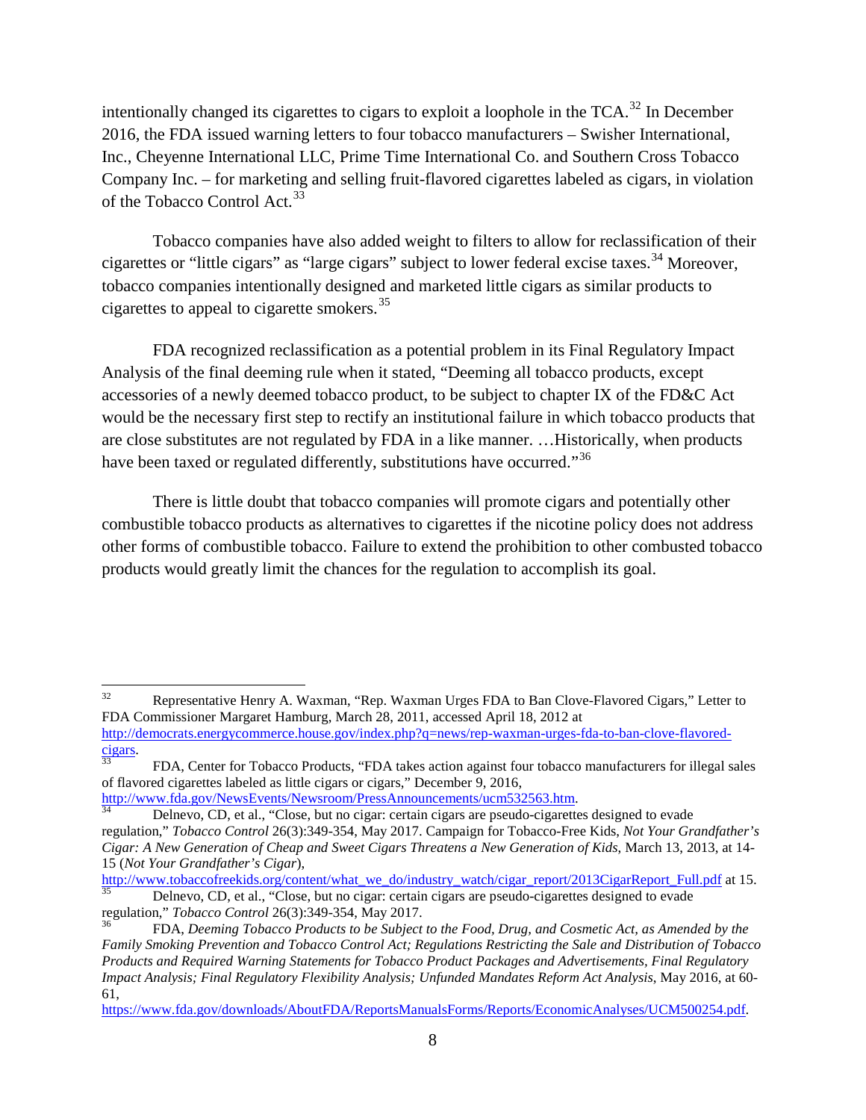intentionally changed its cigarettes to cigars to exploit a loophole in the  $TCA$ <sup>[32](#page-7-0)</sup>. In December 2016, the FDA issued warning letters to four tobacco manufacturers – Swisher International, Inc., Cheyenne International LLC, Prime Time International Co. and Southern Cross Tobacco Company Inc. – for marketing and selling fruit-flavored cigarettes labeled as cigars, in violation of the Tobacco Control Act.<sup>[33](#page-7-1)</sup>

Tobacco companies have also added weight to filters to allow for reclassification of their cigarettes or "little cigars" as "large cigars" subject to lower federal excise taxes.<sup>[34](#page-7-2)</sup> Moreover, tobacco companies intentionally designed and marketed little cigars as similar products to cigarettes to appeal to cigarette smokers.[35](#page-7-3)

FDA recognized reclassification as a potential problem in its Final Regulatory Impact Analysis of the final deeming rule when it stated, "Deeming all tobacco products, except accessories of a newly deemed tobacco product, to be subject to chapter IX of the FD&C Act would be the necessary first step to rectify an institutional failure in which tobacco products that are close substitutes are not regulated by FDA in a like manner. …Historically, when products have been taxed or regulated differently, substitutions have occurred."<sup>[36](#page-7-4)</sup>

There is little doubt that tobacco companies will promote cigars and potentially other combustible tobacco products as alternatives to cigarettes if the nicotine policy does not address other forms of combustible tobacco. Failure to extend the prohibition to other combusted tobacco products would greatly limit the chances for the regulation to accomplish its goal.

<span id="page-7-0"></span><sup>&</sup>lt;sup>32</sup> Representative Henry A. Waxman, "Rep. Waxman Urges FDA to Ban Clove-Flavored Cigars," Letter to FDA Commissioner Margaret Hamburg, March 28, 2011, accessed April 18, 2012 at [http://democrats.energycommerce.house.gov/index.php?q=news/rep-waxman-urges-fda-to-ban-clove-flavored-](http://democrats.energycommerce.house.gov/index.php?q=news/rep-waxman-urges-fda-to-ban-clove-flavored-cigars)

<span id="page-7-1"></span> $\frac{cigars}{33}$  $\frac{cigars}{33}$  $\frac{cigars}{33}$ . FDA, Center for Tobacco Products, "FDA takes action against four tobacco manufacturers for illegal sales of flavored cigarettes labeled as little cigars or cigars," December 9, 2016,<br>http://www.fda.gov/NewsEvents/Newsroom/PressAnnouncements/ucm532563.htm.

<span id="page-7-2"></span>Delnevo, CD, et al., "Close, but no cigar: certain cigars are pseudo-cigarettes designed to evade regulation," *Tobacco Control* 26(3):349-354, May 2017. Campaign for Tobacco-Free Kids, *Not Your Grandfather's Cigar: A New Generation of Cheap and Sweet Cigars Threatens a New Generation of Kids*, March 13, 2013, at 14- 15 (*Not Your Grandfather's Cigar*),

<span id="page-7-3"></span>Delnevo, CD, et al., "Close, but no cigar: certain cigars are pseudo-cigarettes designed to evade regulation," *Tobacco Control* 26(3):349-354, May 2017.<br><sup>36</sup> FDA, *Deeming Tobacco Products to be Subject to the Food, Drug, and Cosmetic Act, as Amended by the* 

<span id="page-7-4"></span>*Family Smoking Prevention and Tobacco Control Act; Regulations Restricting the Sale and Distribution of Tobacco Products and Required Warning Statements for Tobacco Product Packages and Advertisements, Final Regulatory Impact Analysis; Final Regulatory Flexibility Analysis; Unfunded Mandates Reform Act Analysis*, May 2016, at 60- 61,

[https://www.fda.gov/downloads/AboutFDA/ReportsManualsForms/Reports/EconomicAnalyses/UCM500254.pdf.](https://www.fda.gov/downloads/AboutFDA/ReportsManualsForms/Reports/EconomicAnalyses/UCM500254.pdf)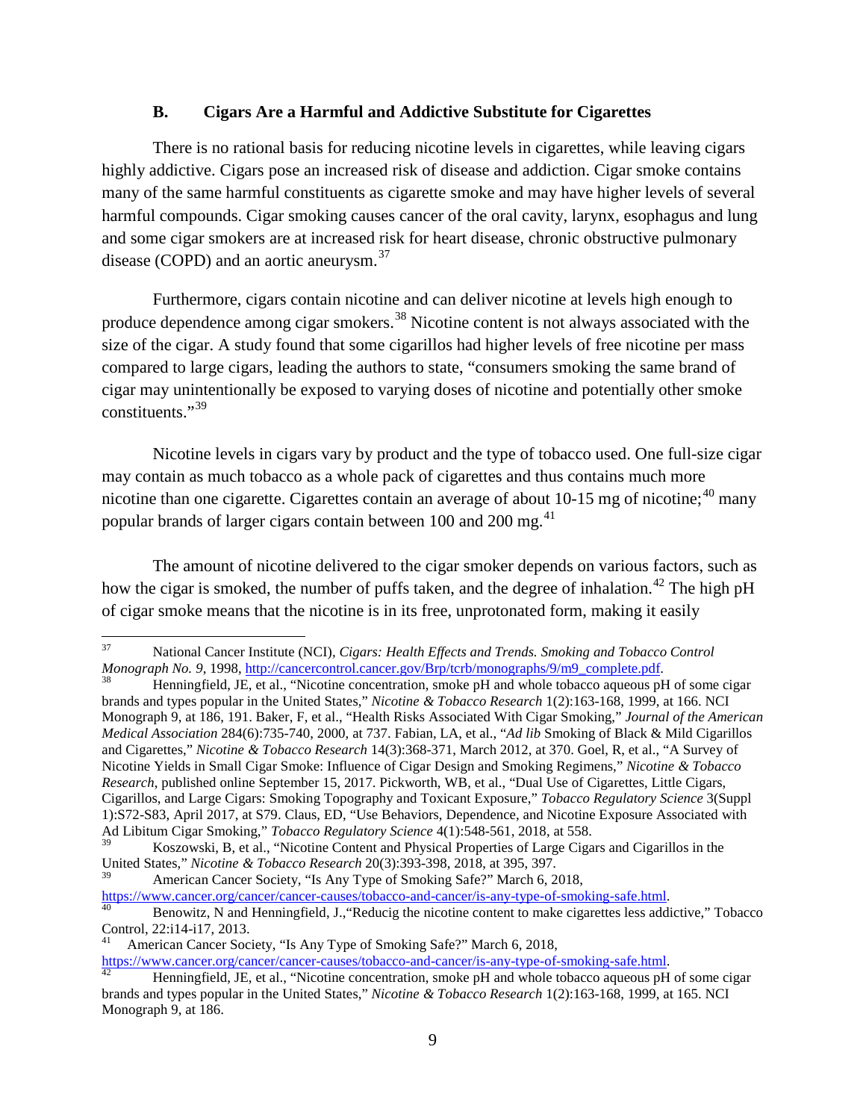#### **B. Cigars Are a Harmful and Addictive Substitute for Cigarettes**

There is no rational basis for reducing nicotine levels in cigarettes, while leaving cigars highly addictive. Cigars pose an increased risk of disease and addiction. Cigar smoke contains many of the same harmful constituents as cigarette smoke and may have higher levels of several harmful compounds. Cigar smoking causes cancer of the oral cavity, larynx, esophagus and lung and some cigar smokers are at increased risk for heart disease, chronic obstructive pulmonary disease (COPD) and an aortic aneurysm.<sup>[37](#page-8-0)</sup>

Furthermore, cigars contain nicotine and can deliver nicotine at levels high enough to produce dependence among cigar smokers.<sup>[38](#page-8-1)</sup> Nicotine content is not always associated with the size of the cigar. A study found that some cigarillos had higher levels of free nicotine per mass compared to large cigars, leading the authors to state, "consumers smoking the same brand of cigar may unintentionally be exposed to varying doses of nicotine and potentially other smoke constituents."[39](#page-8-2)

Nicotine levels in cigars vary by product and the type of tobacco used. One full-size cigar may contain as much tobacco as a whole pack of cigarettes and thus contains much more nicotine than one cigarette. Cigarettes contain an average of about 10-15 mg of nicotine;<sup>[40](#page-8-3)</sup> many popular brands of larger cigars contain between  $100$  and  $200$  mg.<sup>[41](#page-8-4)</sup>

The amount of nicotine delivered to the cigar smoker depends on various factors, such as how the cigar is smoked, the number of puffs taken, and the degree of inhalation.<sup>[42](#page-8-5)</sup> The high pH of cigar smoke means that the nicotine is in its free, unprotonated form, making it easily

<sup>39</sup> American Cancer Society, "Is Any Type of Smoking Safe?" March 6, 2018,<br>https://www.cancer.org/cancer/cancer-causes/tobacco-and-cancer/is-any-type-of-smoking-safe.html.

<span id="page-8-0"></span><sup>&</sup>lt;sup>37</sup> National Cancer Institute (NCI)*, Cigars: Health Effects and Trends. Smoking and Tobacco Control Monograph No. 9, 1998, http://cancercontrol.cancer.gov/Brp/tcrb/monographs/9/m9\_complete.pdf.* 

<span id="page-8-1"></span>Henningfield, JE, et al., "Nicotine concentration, smoke pH and whole tobacco aqueous pH of some cigar brands and types popular in the United States," *Nicotine & Tobacco Research* 1(2):163-168, 1999, at 166. NCI Monograph 9, at 186, 191. Baker, F, et al., "Health Risks Associated With Cigar Smoking," *Journal of the American Medical Association* 284(6):735-740, 2000, at 737. Fabian, LA, et al., "*Ad lib* Smoking of Black & Mild Cigarillos and Cigarettes," *Nicotine & Tobacco Research* 14(3):368-371, March 2012, at 370. Goel, R, et al., "A Survey of Nicotine Yields in Small Cigar Smoke: Influence of Cigar Design and Smoking Regimens," *Nicotine & Tobacco Research*, published online September 15, 2017. Pickworth, WB, et al., "Dual Use of Cigarettes, Little Cigars, Cigarillos, and Large Cigars: Smoking Topography and Toxicant Exposure," *Tobacco Regulatory Science* 3(Suppl 1):S72-S83, April 2017, at S79. Claus, ED, "Use Behaviors, Dependence, and Nicotine Exposure Associated with Ad Libitum Cigar Smoking," *Tobacco Regulatory Science* 4(1):548-561, 2018, at 558.

<span id="page-8-2"></span><sup>39</sup> Koszowski, B, et al., "Nicotine Content and Physical Properties of Large Cigars and Cigarillos in the United States," *Nicotine & Tobacco Research* 20(3):393-398, 2018, at 395, 397.

<span id="page-8-3"></span>Henowitz, N and Henningfield, J., "Reducig the nicotine content to make cigarettes less addictive," Tobacco Control, 22:i14-i17, 2013.<br><sup>41</sup> American Cancer Society, "Is Any Type of Smoking Safe?" March 6, 2018,<br>https://www.cancer.org/cancer/cancer-causes/tobacco-and-cancer/is-any-type-of-smoking-safe.html.

<span id="page-8-4"></span>

<span id="page-8-5"></span>Henningfield, JE, et al., "Nicotine concentration, smoke pH and whole tobacco aqueous pH of some cigar brands and types popular in the United States," *Nicotine & Tobacco Research* 1(2):163-168, 1999, at 165. NCI Monograph 9, at 186.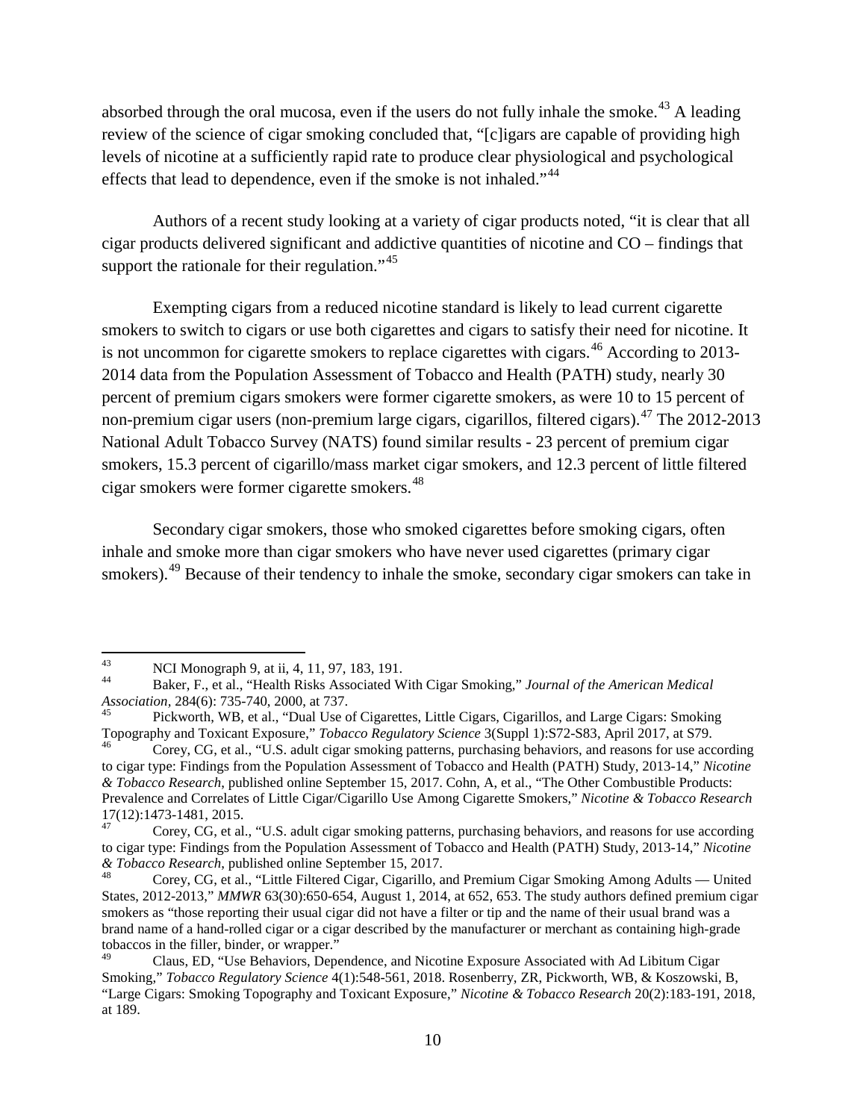absorbed through the oral mucosa, even if the users do not fully inhale the smoke.<sup>[43](#page-9-0)</sup> A leading review of the science of cigar smoking concluded that, "[c]igars are capable of providing high levels of nicotine at a sufficiently rapid rate to produce clear physiological and psychological effects that lead to dependence, even if the smoke is not inhaled."<sup>[44](#page-9-1)</sup>

Authors of a recent study looking at a variety of cigar products noted, "it is clear that all cigar products delivered significant and addictive quantities of nicotine and CO – findings that support the rationale for their regulation."<sup>[45](#page-9-2)</sup>

Exempting cigars from a reduced nicotine standard is likely to lead current cigarette smokers to switch to cigars or use both cigarettes and cigars to satisfy their need for nicotine. It is not uncommon for cigarette smokers to replace cigarettes with cigars.<sup>[46](#page-9-3)</sup> According to 2013-2014 data from the Population Assessment of Tobacco and Health (PATH) study, nearly 30 percent of premium cigars smokers were former cigarette smokers, as were 10 to 15 percent of non-premium cigar users (non-premium large cigars, cigarillos, filtered cigars).<sup>[47](#page-9-4)</sup> The 2012-2013 National Adult Tobacco Survey (NATS) found similar results - 23 percent of premium cigar smokers, 15.3 percent of cigarillo/mass market cigar smokers, and 12.3 percent of little filtered cigar smokers were former cigarette smokers.[48](#page-9-5)

Secondary cigar smokers, those who smoked cigarettes before smoking cigars, often inhale and smoke more than cigar smokers who have never used cigarettes (primary cigar smokers).<sup>[49](#page-9-6)</sup> Because of their tendency to inhale the smoke, secondary cigar smokers can take in

<span id="page-9-1"></span><span id="page-9-0"></span><sup>43</sup> NCI Monograph 9, at ii, 4, 11, 97, 183, 191.<br>
44 Baker, F., et al., "Health Risks Associated With Cigar Smoking," *Journal of the American Medical Association*, 284(6): 735-740, 2000, at 737.

<span id="page-9-2"></span>Pickworth, WB, et al., "Dual Use of Cigarettes, Little Cigars, Cigarillos, and Large Cigars: Smoking Topography and Toxicant Exposure," *Tobacco Regulatory Science* 3(Suppl 1):S72-S83, April 2017, at S79. Corey, CG, et al., "U.S. adult cigar smoking patterns, purchasing behaviors, and reasons for use according

<span id="page-9-3"></span>to cigar type: Findings from the Population Assessment of Tobacco and Health (PATH) Study, 2013-14," *Nicotine & Tobacco Research*, published online September 15, 2017. Cohn, A, et al., "The Other Combustible Products: Prevalence and Correlates of Little Cigar/Cigarillo Use Among Cigarette Smokers," *Nicotine & Tobacco Research* 17(12):1473-1481, 2015.<br><sup>47</sup> Corey, CG, et al., "U.S. adult cigar smoking patterns, purchasing behaviors, and reasons for use according

<span id="page-9-4"></span>to cigar type: Findings from the Population Assessment of Tobacco and Health (PATH) Study, 2013-14," *Nicotine* & Tobacco Research, published online September 15, 2017.

<span id="page-9-5"></span>Corey, CG, et al., "Little Filtered Cigar, Cigarillo, and Premium Cigar Smoking Among Adults — United States, 2012-2013," *MMWR* 63(30):650-654, August 1, 2014, at 652, 653. The study authors defined premium cigar smokers as "those reporting their usual cigar did not have a filter or tip and the name of their usual brand was a brand name of a hand-rolled cigar or a cigar described by the manufacturer or merchant as containing high-grade tobaccos in the filler, binder, or wrapper."

<span id="page-9-6"></span><sup>49</sup> Claus, ED, "Use Behaviors, Dependence, and Nicotine Exposure Associated with Ad Libitum Cigar Smoking," *Tobacco Regulatory Science* 4(1):548-561, 2018. Rosenberry, ZR, Pickworth, WB, & Koszowski, B, "Large Cigars: Smoking Topography and Toxicant Exposure," *Nicotine & Tobacco Research* 20(2):183-191, 2018, at 189.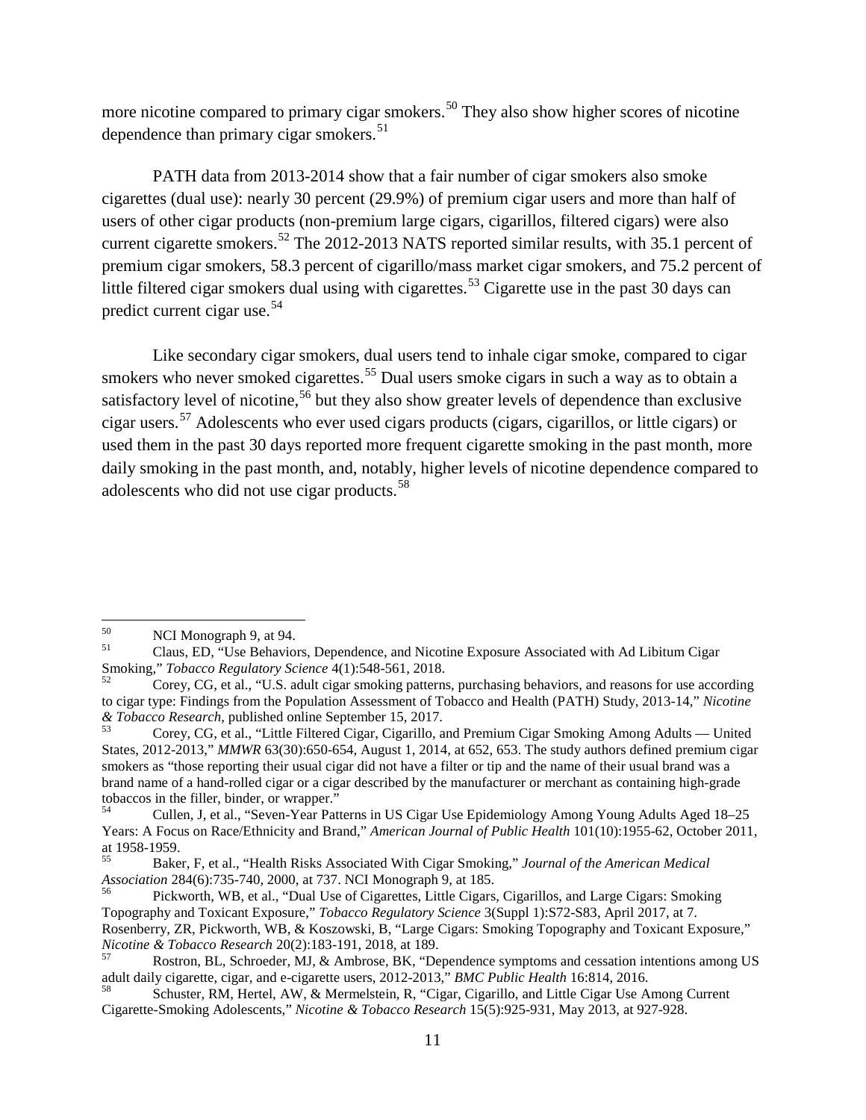more nicotine compared to primary cigar smokers.<sup>[50](#page-10-0)</sup> They also show higher scores of nicotine dependence than primary cigar smokers.<sup>[51](#page-10-1)</sup>

PATH data from 2013-2014 show that a fair number of cigar smokers also smoke cigarettes (dual use): nearly 30 percent (29.9%) of premium cigar users and more than half of users of other cigar products (non-premium large cigars, cigarillos, filtered cigars) were also current cigarette smokers.<sup>[52](#page-10-2)</sup> The 2012-2013 NATS reported similar results, with 35.1 percent of premium cigar smokers, 58.3 percent of cigarillo/mass market cigar smokers, and 75.2 percent of little filtered cigar smokers dual using with cigarettes.<sup>[53](#page-10-3)</sup> Cigarette use in the past 30 days can predict current cigar use.[54](#page-10-4)

Like secondary cigar smokers, dual users tend to inhale cigar smoke, compared to cigar smokers who never smoked cigarettes.<sup>[55](#page-10-5)</sup> Dual users smoke cigars in such a way as to obtain a satisfactory level of nicotine,<sup>[56](#page-10-6)</sup> but they also show greater levels of dependence than exclusive cigar users.[57](#page-10-7) Adolescents who ever used cigars products (cigars, cigarillos, or little cigars) or used them in the past 30 days reported more frequent cigarette smoking in the past month, more daily smoking in the past month, and, notably, higher levels of nicotine dependence compared to adolescents who did not use cigar products.<sup>[58](#page-10-8)</sup>

<span id="page-10-1"></span><span id="page-10-0"></span><sup>&</sup>lt;sup>50</sup> NCI Monograph 9, at 94.<br>
Claus, ED, "Use Behaviors, Dependence, and Nicotine Exposure Associated with Ad Libitum Cigar<br>
Smoking," *Tobacco Regulatory Science* 4(1):548-561, 2018.

<span id="page-10-2"></span>Corey, CG, et al., "U.S. adult cigar smoking patterns, purchasing behaviors, and reasons for use according to cigar type: Findings from the Population Assessment of Tobacco and Health (PATH) Study, 2013-14," *Nicotine* & Tobacco Research, published online September 15, 2017.

<span id="page-10-3"></span>*Corey, CG, et al., "Little Filtered Cigar, Cigarillo, and Premium Cigar Smoking Among Adults — United* States, 2012-2013," *MMWR* 63(30):650-654, August 1, 2014, at 652, 653. The study authors defined premium cigar smokers as "those reporting their usual cigar did not have a filter or tip and the name of their usual brand was a brand name of a hand-rolled cigar or a cigar described by the manufacturer or merchant as containing high-grade tobaccos in the filler, binder, or wrapper."<br> $U_{\text{S}4}$  Culler, Let al. "Seven Year Pati

<span id="page-10-4"></span><sup>54</sup> Cullen, J, et al., "Seven-Year Patterns in US Cigar Use Epidemiology Among Young Adults Aged 18–25 Years: A Focus on Race/Ethnicity and Brand," *American Journal of Public Health* 101(10):1955-62, October 2011,

<span id="page-10-5"></span><sup>&</sup>lt;sup>55</sup> Baker, F, et al., "Health Risks Associated With Cigar Smoking," *Journal of the American Medical Association* 284(6):735-740, 2000, at 737. NCI Monograph 9, at 185.

<span id="page-10-6"></span>Pickworth, WB, et al., "Dual Use of Cigarettes, Little Cigars, Cigarillos, and Large Cigars: Smoking Topography and Toxicant Exposure," *Tobacco Regulatory Science* 3(Suppl 1):S72-S83, April 2017, at 7. Rosenberry, ZR, Pickworth, WB, & Koszowski, B, "Large Cigars: Smoking Topography and Toxicant Exposure,"

<span id="page-10-7"></span>*Nicotine & Tobacco Research* 20(2):183-191, 2018, at 189.<br><sup>57</sup> Rostron, BL, Schroeder, MJ, & Ambrose, BK, "Dependence symptoms and cessation intentions among US adult daily cigarette, cigar, and e-cigarette users, 2012-20

<span id="page-10-8"></span>Schuster, RM, Hertel, AW, & Mermelstein, R, "Cigar, Cigarillo, and Little Cigar Use Among Current Cigarette-Smoking Adolescents," *Nicotine & Tobacco Research* 15(5):925-931, May 2013, at 927-928.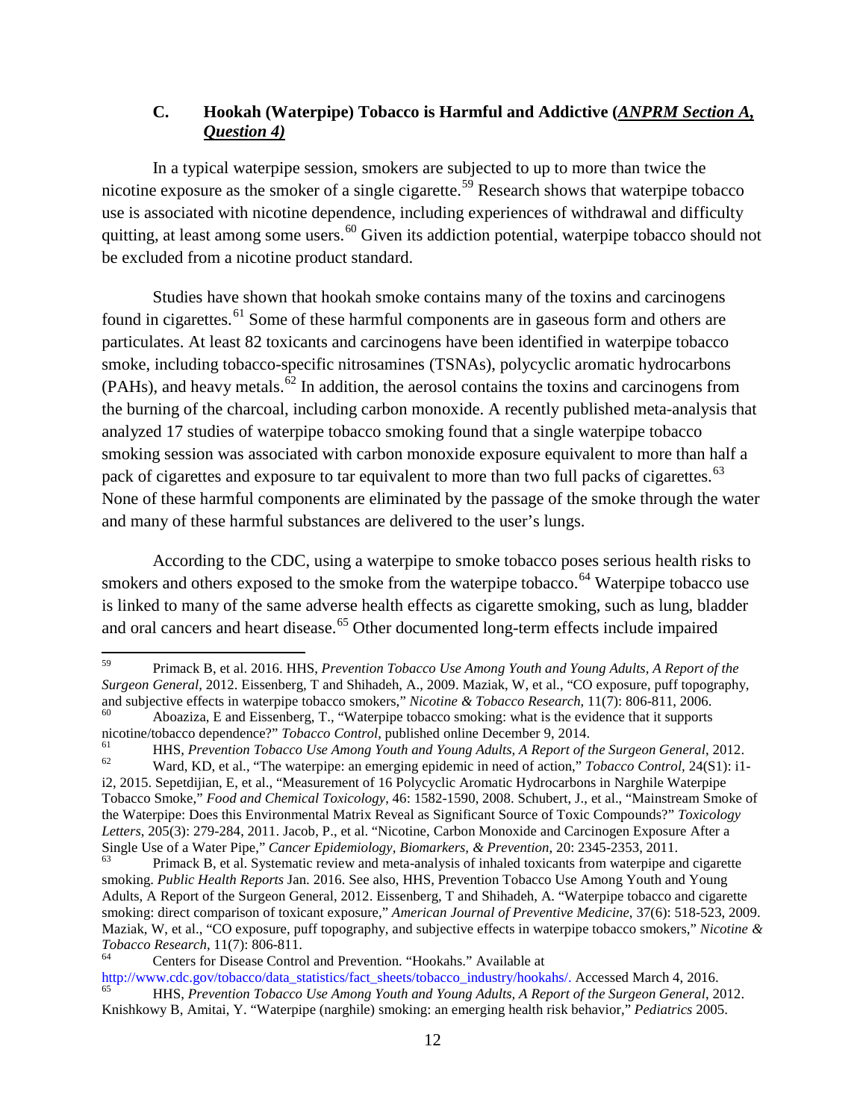# **C. Hookah (Waterpipe) Tobacco is Harmful and Addictive (***ANPRM Section A, Question 4)*

In a typical waterpipe session, smokers are subjected to up to more than twice the nicotine exposure as the smoker of a single cigarette.<sup>[59](#page-11-0)</sup> Research shows that waterpipe tobacco use is associated with nicotine dependence, including experiences of withdrawal and difficulty quitting, at least among some users.  $^{60}$  $^{60}$  $^{60}$  Given its addiction potential, waterpipe tobacco should not be excluded from a nicotine product standard.

Studies have shown that hookah smoke contains many of the toxins and carcinogens found in cigarettes.<sup>[61](#page-11-2)</sup> Some of these harmful components are in gaseous form and others are particulates. At least 82 toxicants and carcinogens have been identified in waterpipe tobacco smoke, including tobacco-specific nitrosamines (TSNAs), polycyclic aromatic hydrocarbons  $(PAHs)$ , and heavy metals.<sup>[62](#page-11-3)</sup> In addition, the aerosol contains the toxins and carcinogens from the burning of the charcoal, including carbon monoxide. A recently published meta-analysis that analyzed 17 studies of waterpipe tobacco smoking found that a single waterpipe tobacco smoking session was associated with carbon monoxide exposure equivalent to more than half a pack of cigarettes and exposure to tar equivalent to more than two full packs of cigarettes.<sup>[63](#page-11-4)</sup> None of these harmful components are eliminated by the passage of the smoke through the water and many of these harmful substances are delivered to the user's lungs.

According to the CDC, using a waterpipe to smoke tobacco poses serious health risks to smokers and others exposed to the smoke from the waterpipe tobacco.<sup>[64](#page-11-5)</sup> Waterpipe tobacco use is linked to many of the same adverse health effects as cigarette smoking, such as lung, bladder and oral cancers and heart disease.<sup>[65](#page-11-6)</sup> Other documented long-term effects include impaired

<span id="page-11-0"></span><sup>59</sup> Primack B, et al. 2016. HHS, *Prevention Tobacco Use Among Youth and Young Adults, A Report of the Surgeon General*, 2012. Eissenberg, T and Shihadeh, A., 2009. Maziak, W, et al., "CO exposure, puff topography,

<span id="page-11-1"></span>Aboaziza, E and Eissenberg, T., "Waterpipe tobacco smoking: what is the evidence that it supports

<span id="page-11-2"></span>nicotine/tobacco dependence?" Tobacco Control, published online December 9, 2014.<br>
HHS, Prevention Tobacco Use Among Youth and Young Adults, A Report of the Surgeon General, 2012.<br>
Ward, KD, et al., "The waterpipe: an emer

<span id="page-11-3"></span>i2, 2015. Sepetdijian, E, et al., "Measurement of 16 Polycyclic Aromatic Hydrocarbons in Narghile Waterpipe Tobacco Smoke," *Food and Chemical Toxicology*, 46: 1582-1590, 2008. Schubert, J., et al., "Mainstream Smoke of the Waterpipe: Does this Environmental Matrix Reveal as Significant Source of Toxic Compounds?" *Toxicology*  Letters, 205(3): 279-284, 2011. Jacob, P., et al. "Nicotine, Carbon Monoxide and Carcinogen Exposure After a Single Use of a Water Pipe," Cancer Epidemiology, Biomarkers, & Prevention, 20: 2345-2353, 2011.

<span id="page-11-4"></span>Primack B, et al. Systematic review and meta-analysis of inhaled toxicants from waterpipe and cigarette smoking. *Public Health Reports* Jan. 2016. See also, HHS, Prevention Tobacco Use Among Youth and Young Adults, A Report of the Surgeon General, 2012. Eissenberg, T and Shihadeh, A. "Waterpipe tobacco and cigarette smoking: direct comparison of toxicant exposure," *American Journal of Preventive Medicine*, 37(6): 518-523, 2009. Maziak, W, et al., "CO exposure, puff topography, and subjective effects in waterpipe tobacco smokers," *Nicotine & Tobacco Research*, 11(7): 806-811.<br><sup>64</sup> Centers for Disease Control and Prevention. "Hookahs." Available at

<span id="page-11-5"></span>

http://www.cdc.gov/tobacco/data\_statistics/fact\_sheets/tobacco\_industry/hookahs/. Accessed March 4, 2016. <sup>65</sup> HHS, *Prevention Tobacco Use Among Youth and Young Adults, A Report of the Surgeon General*, 2012.

<span id="page-11-6"></span>Knishkowy B, Amitai, Y. "Waterpipe (narghile) smoking: an emerging health risk behavior," *Pediatrics* 2005.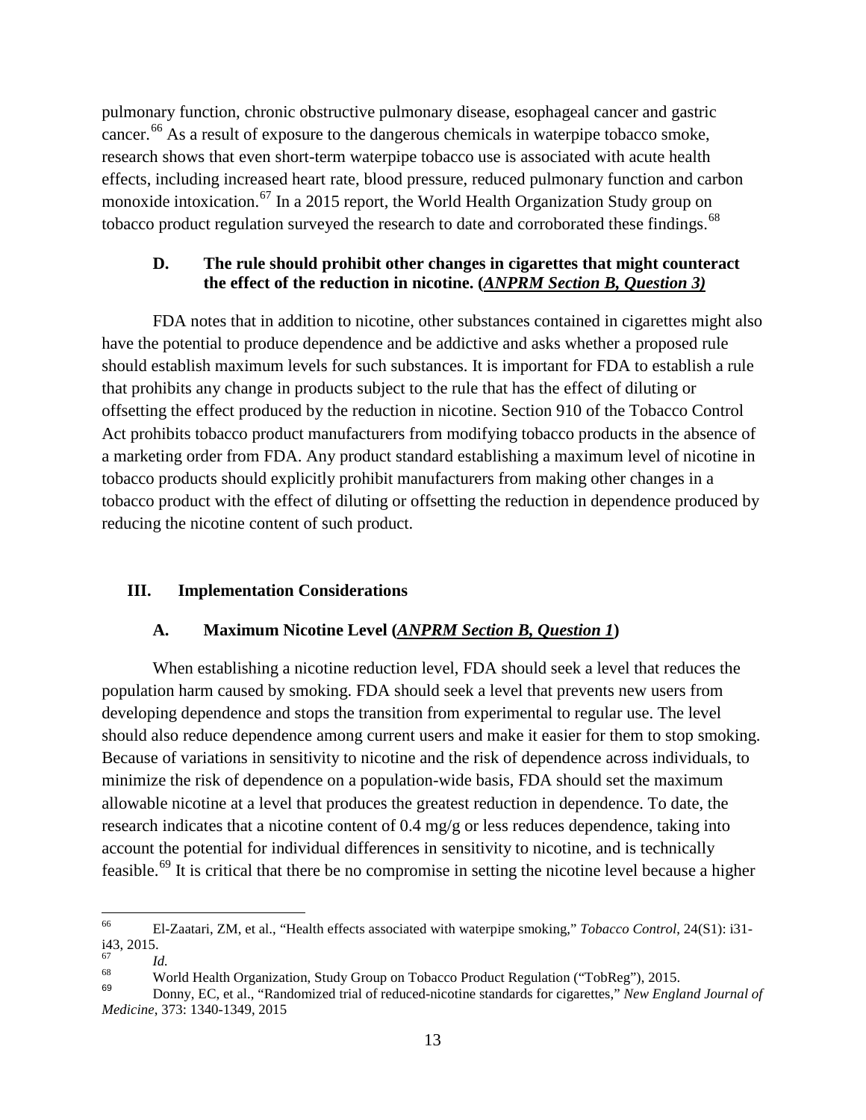pulmonary function, chronic obstructive pulmonary disease, esophageal cancer and gastric cancer.<sup>[66](#page-12-0)</sup> As a result of exposure to the dangerous chemicals in waterpipe tobacco smoke, research shows that even short-term waterpipe tobacco use is associated with acute health effects, including increased heart rate, blood pressure, reduced pulmonary function and carbon monoxide intoxication.<sup>[67](#page-12-1)</sup> In a 2015 report, the World Health Organization Study group on tobacco product regulation surveyed the research to date and corroborated these findings.<sup>[68](#page-12-2)</sup>

## **D. The rule should prohibit other changes in cigarettes that might counteract the effect of the reduction in nicotine. (***ANPRM Section B, Question 3)*

FDA notes that in addition to nicotine, other substances contained in cigarettes might also have the potential to produce dependence and be addictive and asks whether a proposed rule should establish maximum levels for such substances. It is important for FDA to establish a rule that prohibits any change in products subject to the rule that has the effect of diluting or offsetting the effect produced by the reduction in nicotine. Section 910 of the Tobacco Control Act prohibits tobacco product manufacturers from modifying tobacco products in the absence of a marketing order from FDA. Any product standard establishing a maximum level of nicotine in tobacco products should explicitly prohibit manufacturers from making other changes in a tobacco product with the effect of diluting or offsetting the reduction in dependence produced by reducing the nicotine content of such product.

## **III. Implementation Considerations**

# **A. Maximum Nicotine Level (***ANPRM Section B, Question 1***)**

When establishing a nicotine reduction level, FDA should seek a level that reduces the population harm caused by smoking. FDA should seek a level that prevents new users from developing dependence and stops the transition from experimental to regular use. The level should also reduce dependence among current users and make it easier for them to stop smoking. Because of variations in sensitivity to nicotine and the risk of dependence across individuals, to minimize the risk of dependence on a population-wide basis, FDA should set the maximum allowable nicotine at a level that produces the greatest reduction in dependence. To date, the research indicates that a nicotine content of 0.4 mg/g or less reduces dependence, taking into account the potential for individual differences in sensitivity to nicotine, and is technically feasible.[69](#page-12-3) It is critical that there be no compromise in setting the nicotine level because a higher

<span id="page-12-0"></span><sup>66</sup> El-Zaatari, ZM, et al., "Health effects associated with waterpipe smoking," *Tobacco Control*, 24(S1): i31 i43, 2015.

<span id="page-12-2"></span><span id="page-12-1"></span><sup>&</sup>lt;sup>67</sup> *Id.*<br><sup>68</sup> World Health Organization, Study Group on Tobacco Product Regulation ("TobReg"), 2015.<br><sup>69</sup> Donny, EC, et al., "Randomized trial of reduced-nicotine standards for cigarettes," *New England Journal of* 

<span id="page-12-3"></span>*Medicine*, 373: 1340-1349, 2015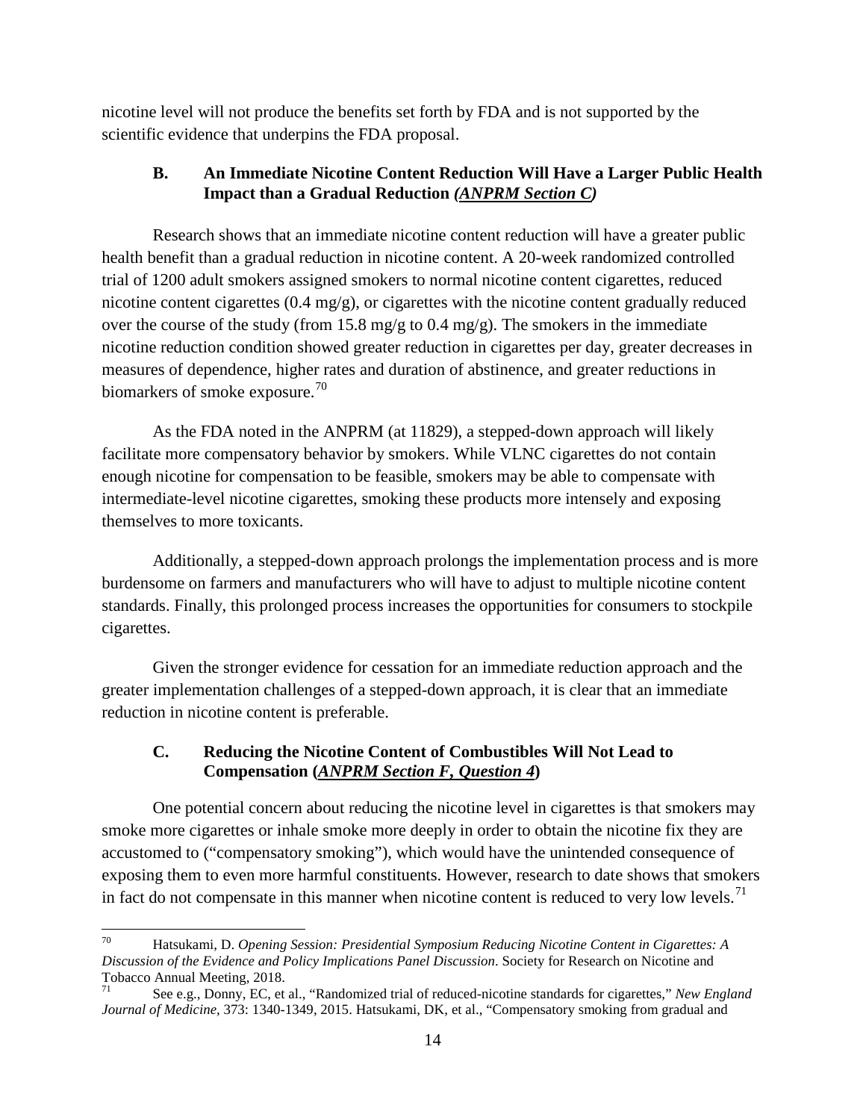nicotine level will not produce the benefits set forth by FDA and is not supported by the scientific evidence that underpins the FDA proposal.

# **B. An Immediate Nicotine Content Reduction Will Have a Larger Public Health Impact than a Gradual Reduction** *(ANPRM Section C)*

Research shows that an immediate nicotine content reduction will have a greater public health benefit than a gradual reduction in nicotine content. A 20-week randomized controlled trial of 1200 adult smokers assigned smokers to normal nicotine content cigarettes, reduced nicotine content cigarettes (0.4 mg/g), or cigarettes with the nicotine content gradually reduced over the course of the study (from 15.8 mg/g to 0.4 mg/g). The smokers in the immediate nicotine reduction condition showed greater reduction in cigarettes per day, greater decreases in measures of dependence, higher rates and duration of abstinence, and greater reductions in biomarkers of smoke exposure.<sup>[70](#page-13-0)</sup>

As the FDA noted in the ANPRM (at 11829), a stepped-down approach will likely facilitate more compensatory behavior by smokers. While VLNC cigarettes do not contain enough nicotine for compensation to be feasible, smokers may be able to compensate with intermediate-level nicotine cigarettes, smoking these products more intensely and exposing themselves to more toxicants.

Additionally, a stepped-down approach prolongs the implementation process and is more burdensome on farmers and manufacturers who will have to adjust to multiple nicotine content standards. Finally, this prolonged process increases the opportunities for consumers to stockpile cigarettes.

Given the stronger evidence for cessation for an immediate reduction approach and the greater implementation challenges of a stepped-down approach, it is clear that an immediate reduction in nicotine content is preferable.

# **C. Reducing the Nicotine Content of Combustibles Will Not Lead to Compensation (***ANPRM Section F, Question 4***)**

One potential concern about reducing the nicotine level in cigarettes is that smokers may smoke more cigarettes or inhale smoke more deeply in order to obtain the nicotine fix they are accustomed to ("compensatory smoking"), which would have the unintended consequence of exposing them to even more harmful constituents. However, research to date shows that smokers in fact do not compensate in this manner when nicotine content is reduced to very low levels.<sup>[71](#page-13-1)</sup>

<span id="page-13-0"></span><sup>70</sup> Hatsukami, D. *Opening Session: Presidential Symposium Reducing Nicotine Content in Cigarettes: A Discussion of the Evidence and Policy Implications Panel Discussion*. Society for Research on Nicotine and Tobacco Annual Meeting, 2018.

<span id="page-13-1"></span><sup>71</sup> See e.g., Donny, EC, et al., "Randomized trial of reduced-nicotine standards for cigarettes," *New England Journal of Medicine*, 373: 1340-1349, 2015. Hatsukami, DK, et al., "Compensatory smoking from gradual and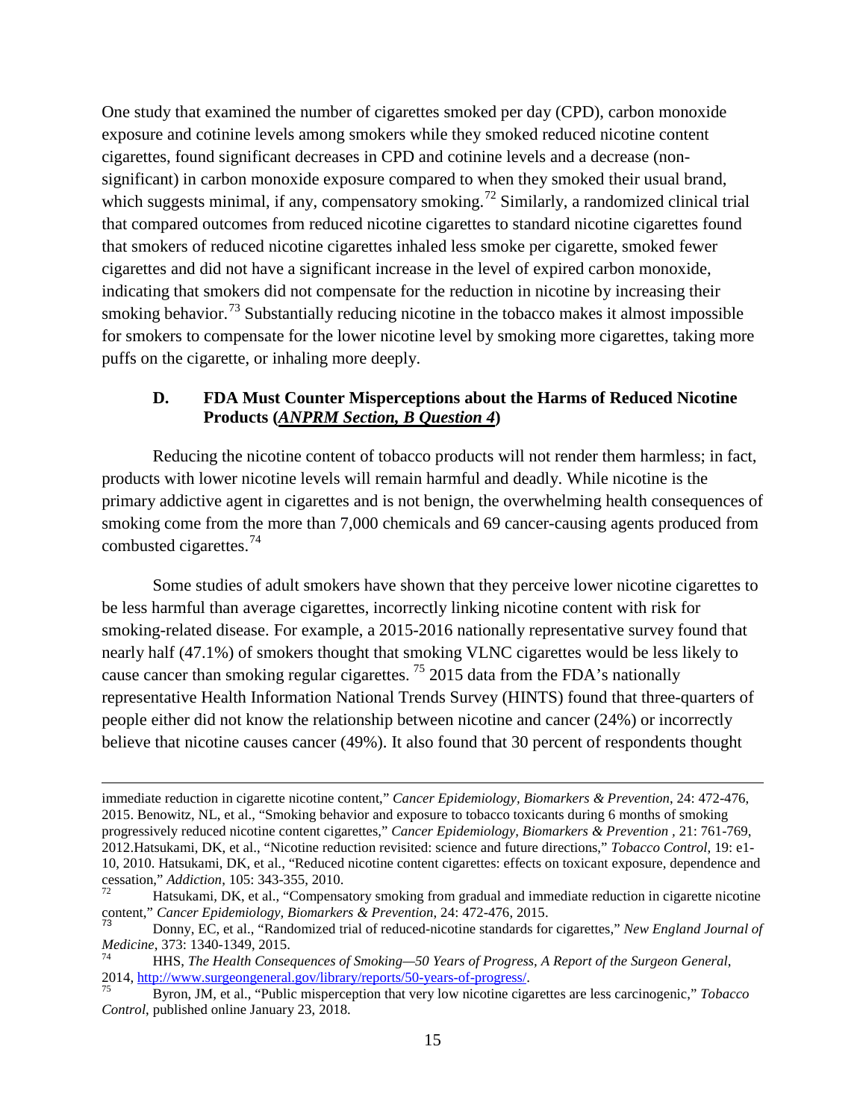One study that examined the number of cigarettes smoked per day (CPD), carbon monoxide exposure and cotinine levels among smokers while they smoked reduced nicotine content cigarettes, found significant decreases in CPD and cotinine levels and a decrease (nonsignificant) in carbon monoxide exposure compared to when they smoked their usual brand, which suggests minimal, if any, compensatory smoking.<sup>[72](#page-14-0)</sup> Similarly, a randomized clinical trial that compared outcomes from reduced nicotine cigarettes to standard nicotine cigarettes found that smokers of reduced nicotine cigarettes inhaled less smoke per cigarette, smoked fewer cigarettes and did not have a significant increase in the level of expired carbon monoxide, indicating that smokers did not compensate for the reduction in nicotine by increasing their smoking behavior.<sup>[73](#page-14-1)</sup> Substantially reducing nicotine in the tobacco makes it almost impossible for smokers to compensate for the lower nicotine level by smoking more cigarettes, taking more puffs on the cigarette, or inhaling more deeply.

#### **D. FDA Must Counter Misperceptions about the Harms of Reduced Nicotine Products (***ANPRM Section, B Question 4***)**

Reducing the nicotine content of tobacco products will not render them harmless; in fact, products with lower nicotine levels will remain harmful and deadly. While nicotine is the primary addictive agent in cigarettes and is not benign, the overwhelming health consequences of smoking come from the more than 7,000 chemicals and 69 cancer-causing agents produced from combusted cigarettes.[74](#page-14-2)

Some studies of adult smokers have shown that they perceive lower nicotine cigarettes to be less harmful than average cigarettes, incorrectly linking nicotine content with risk for smoking-related disease. For example, a 2015-2016 nationally representative survey found that nearly half (47.1%) of smokers thought that smoking VLNC cigarettes would be less likely to cause cancer than smoking regular cigarettes. [75](#page-14-3) 2015 data from the FDA's nationally representative Health Information National Trends Survey (HINTS) found that three-quarters of people either did not know the relationship between nicotine and cancer (24%) or incorrectly believe that nicotine causes cancer (49%). It also found that 30 percent of respondents thought

l

immediate reduction in cigarette nicotine content," *Cancer Epidemiology, Biomarkers & Prevention*, 24: 472-476, 2015. Benowitz, NL, et al., "Smoking behavior and exposure to tobacco toxicants during 6 months of smoking progressively reduced nicotine content cigarettes," *Cancer Epidemiology, Biomarkers & Prevention ,* 21: 761-769, 2012.Hatsukami, DK, et al., "Nicotine reduction revisited: science and future directions," *Tobacco Control*, 19: e1- 10, 2010. Hatsukami, DK, et al., "Reduced nicotine content cigarettes: effects on toxicant exposure, dependence and cessation," *Addiction*, 105: 343-355, 2010.

<span id="page-14-0"></span>Hatsukami, DK, et al., "Compensatory smoking from gradual and immediate reduction in cigarette nicotine content," *Cancer Epidemiology, Biomarkers & Prevention*, 24: 472-476, 2015.

<span id="page-14-1"></span><sup>73</sup> Donny, EC, et al., "Randomized trial of reduced-nicotine standards for cigarettes," *New England Journal of Medicine*, 373: 1340-1349, 2015.<br><sup>74</sup> HHS, *The Health Consequences of Smoking—50 Years of Progress, A Report of the Surgeon General*,

<span id="page-14-2"></span><sup>2014,</sup> [http://www.surgeongeneral.gov/library/reports/50-years-of-progress/.](http://www.surgeongeneral.gov/library/reports/50-years-of-progress/) *A Report of the Surgeon General*,<br><sup>75</sup> Byron, JM, et al., "Public misperception that very low nicotine cigarettes are less carcinogenic," *Tobacco* 

<span id="page-14-3"></span>*Control*, published online January 23, 2018.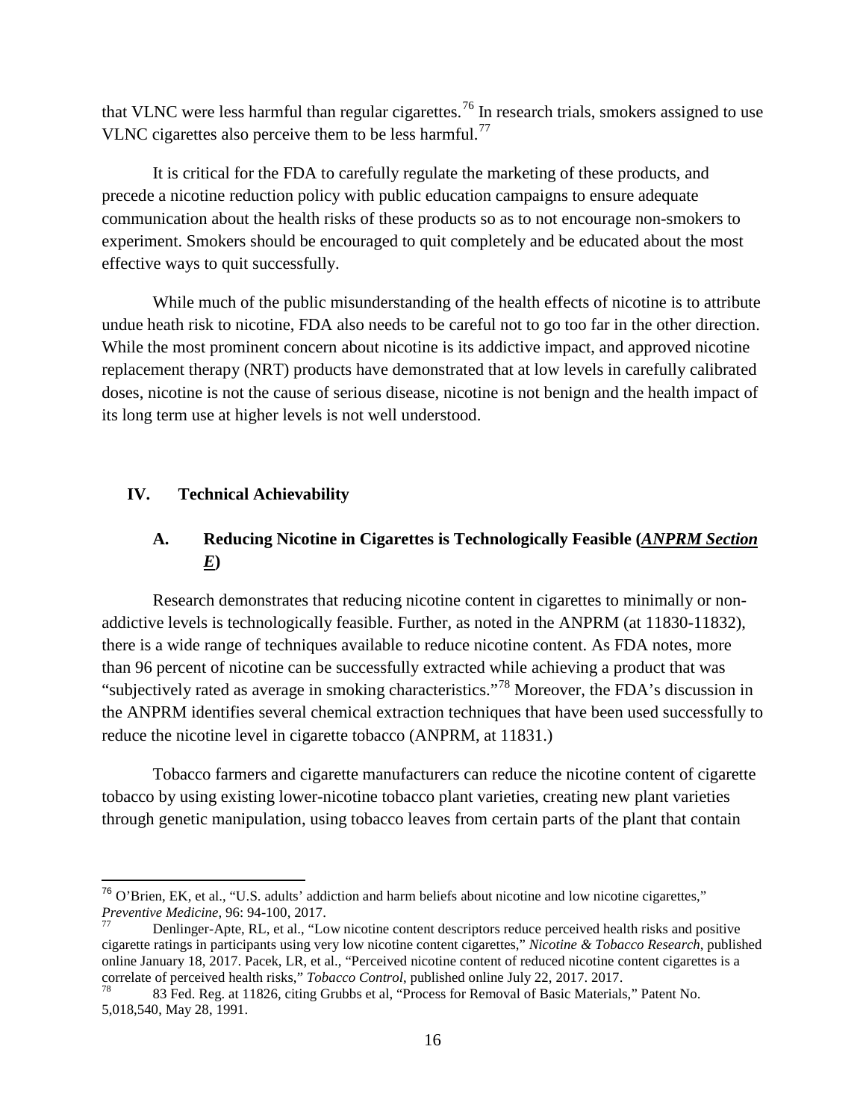that VLNC were less harmful than regular cigarettes.<sup>[76](#page-15-0)</sup> In research trials, smokers assigned to use VLNC cigarettes also perceive them to be less harmful.<sup>[77](#page-15-1)</sup>

It is critical for the FDA to carefully regulate the marketing of these products, and precede a nicotine reduction policy with public education campaigns to ensure adequate communication about the health risks of these products so as to not encourage non-smokers to experiment. Smokers should be encouraged to quit completely and be educated about the most effective ways to quit successfully.

While much of the public misunderstanding of the health effects of nicotine is to attribute undue heath risk to nicotine, FDA also needs to be careful not to go too far in the other direction. While the most prominent concern about nicotine is its addictive impact, and approved nicotine replacement therapy (NRT) products have demonstrated that at low levels in carefully calibrated doses, nicotine is not the cause of serious disease, nicotine is not benign and the health impact of its long term use at higher levels is not well understood.

#### **IV. Technical Achievability**

# **A. Reducing Nicotine in Cigarettes is Technologically Feasible (***ANPRM Section E***)**

Research demonstrates that reducing nicotine content in cigarettes to minimally or nonaddictive levels is technologically feasible. Further, as noted in the ANPRM (at 11830-11832), there is a wide range of techniques available to reduce nicotine content. As FDA notes, more than 96 percent of nicotine can be successfully extracted while achieving a product that was "subjectively rated as average in smoking characteristics."[78](#page-15-2) Moreover, the FDA's discussion in the ANPRM identifies several chemical extraction techniques that have been used successfully to reduce the nicotine level in cigarette tobacco (ANPRM, at 11831.)

Tobacco farmers and cigarette manufacturers can reduce the nicotine content of cigarette tobacco by using existing lower-nicotine tobacco plant varieties, creating new plant varieties through genetic manipulation, using tobacco leaves from certain parts of the plant that contain

<span id="page-15-0"></span> $^{76}$  O'Brien, EK, et al., "U.S. adults' addiction and harm beliefs about nicotine and low nicotine cigarettes,"<br>*Preventive Medicine*, 96: 94-100, 2017.

<span id="page-15-1"></span>*Penlinger-Apte, RL, et al., "Low nicotine content descriptors reduce perceived health risks and positive* cigarette ratings in participants using very low nicotine content cigarettes," *Nicotine & Tobacco Research*, published online January 18, 2017. Pacek, LR, et al., "Perceived nicotine content of reduced nicotine content cigarettes is a correlate of perceived health risks," *Tobacco Control*, published online July 22, 2017. 2017.<br><sup>78</sup> 83 Fed. Reg. at 11826, citing Grubbs et al, "Process for Removal of Basic Materials," Patent No.

<span id="page-15-2"></span><sup>5,018,540,</sup> May 28, 1991.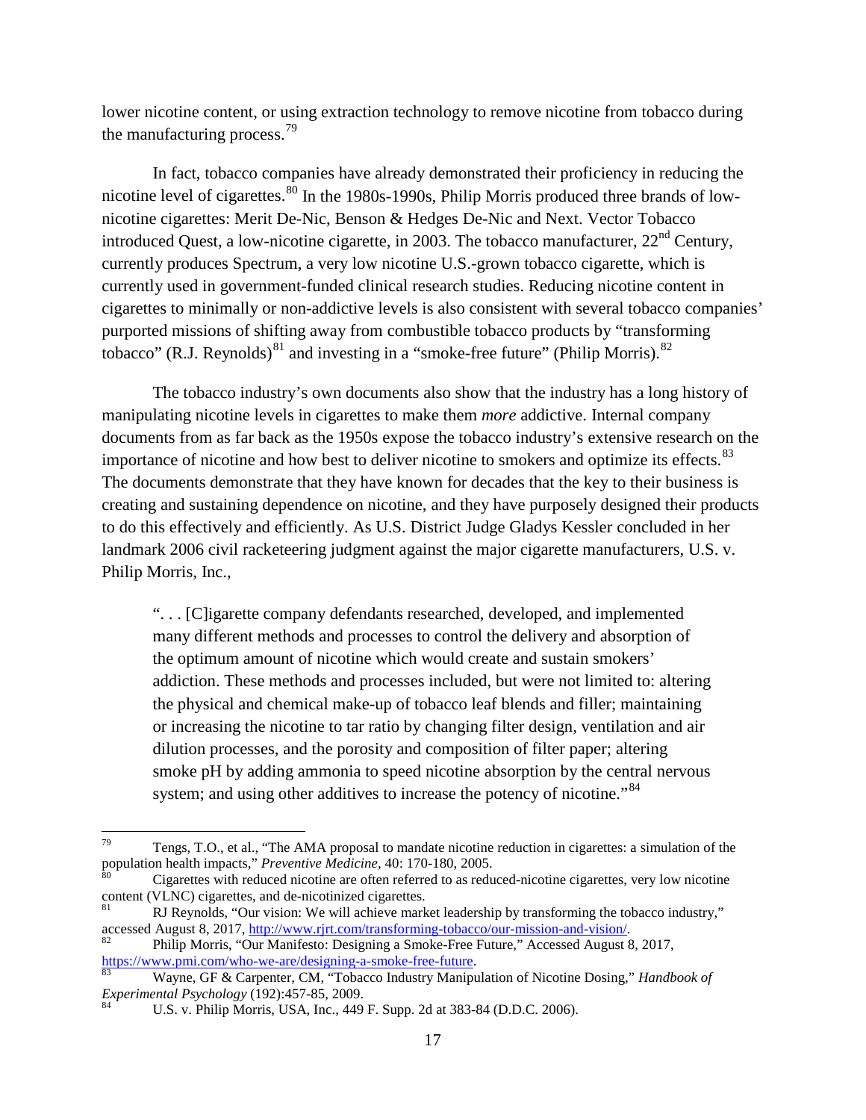lower nicotine content, or using extraction technology to remove nicotine from tobacco during the manufacturing process.<sup>[79](#page-16-0)</sup>

In fact, tobacco companies have already demonstrated their proficiency in reducing the nicotine level of cigarettes.<sup>[80](#page-16-1)</sup> In the 1980s-1990s, Philip Morris produced three brands of lownicotine cigarettes: Merit De-Nic, Benson & Hedges De-Nic and Next. Vector Tobacco introduced Quest, a low-nicotine cigarette, in 2003. The tobacco manufacturer,  $22<sup>nd</sup>$  Century, currently produces Spectrum, a very low nicotine U.S.-grown tobacco cigarette, which is currently used in government-funded clinical research studies. Reducing nicotine content in cigarettes to minimally or non-addictive levels is also consistent with several tobacco companies' purported missions of shifting away from combustible tobacco products by "transforming tobacco" (R.J. Reynolds)<sup>[81](#page-16-2)</sup> and investing in a "smoke-free future" (Philip Morris).<sup>[82](#page-16-3)</sup>

The tobacco industry's own documents also show that the industry has a long history of manipulating nicotine levels in cigarettes to make them *more* addictive. Internal company documents from as far back as the 1950s expose the tobacco industry's extensive research on the importance of nicotine and how best to deliver nicotine to smokers and optimize its effects.<sup>[83](#page-16-4)</sup> The documents demonstrate that they have known for decades that the key to their business is creating and sustaining dependence on nicotine, and they have purposely designed their products to do this effectively and efficiently. As U.S. District Judge Gladys Kessler concluded in her landmark 2006 civil racketeering judgment against the major cigarette manufacturers, U.S. v. Philip Morris, Inc.,

". . . [C]igarette company defendants researched, developed, and implemented many different methods and processes to control the delivery and absorption of the optimum amount of nicotine which would create and sustain smokers' addiction. These methods and processes included, but were not limited to: altering the physical and chemical make-up of tobacco leaf blends and filler; maintaining or increasing the nicotine to tar ratio by changing filter design, ventilation and air dilution processes, and the porosity and composition of filter paper; altering smoke pH by adding ammonia to speed nicotine absorption by the central nervous system; and using other additives to increase the potency of nicotine."<sup>[84](#page-16-5)</sup>

<span id="page-16-0"></span> $^{79}$  Tengs, T.O., et al., "The AMA proposal to mandate nicotine reduction in cigarettes: a simulation of the population health impacts," *Preventive Medicine*, 40: 170-180, 2005.

<span id="page-16-1"></span>Cigarettes with reduced nicotine are often referred to as reduced-nicotine cigarettes, very low nicotine content (VLNC) cigarettes, and de-nicotinized cigarettes.<br><sup>81</sup> RJ Reynolds, "Our vision: We will achieve market leadership by transforming the tobacco industry,"

<span id="page-16-2"></span>accessed August 8, 2017, http://www.rjrt.com/transforming-tobacco/our-mission-and-vision/.<br><sup>82</sup> Philip Morris, "Our Manifesto: Designing a Smoke-Free Future," Accessed August 8, 2017,

<span id="page-16-3"></span>[https://www.pmi.com/who-we-are/designing-a-smoke-free-future.](https://www.pmi.com/who-we-are/designing-a-smoke-free-future)<br><sup>[83](https://www.pmi.com/who-we-are/designing-a-smoke-free-future)</sup> Wayne, GF & Carpenter, CM, "Tobacco Industry Manipulation of Nicotine Dosing," *Handbook of* 

<span id="page-16-5"></span><span id="page-16-4"></span>*Experimental Psychology* (192):457-85, 2009.<br><sup>84</sup> U.S. v. Philip Morris, USA, Inc., 449 F. Supp. 2d at 383-84 (D.D.C. 2006).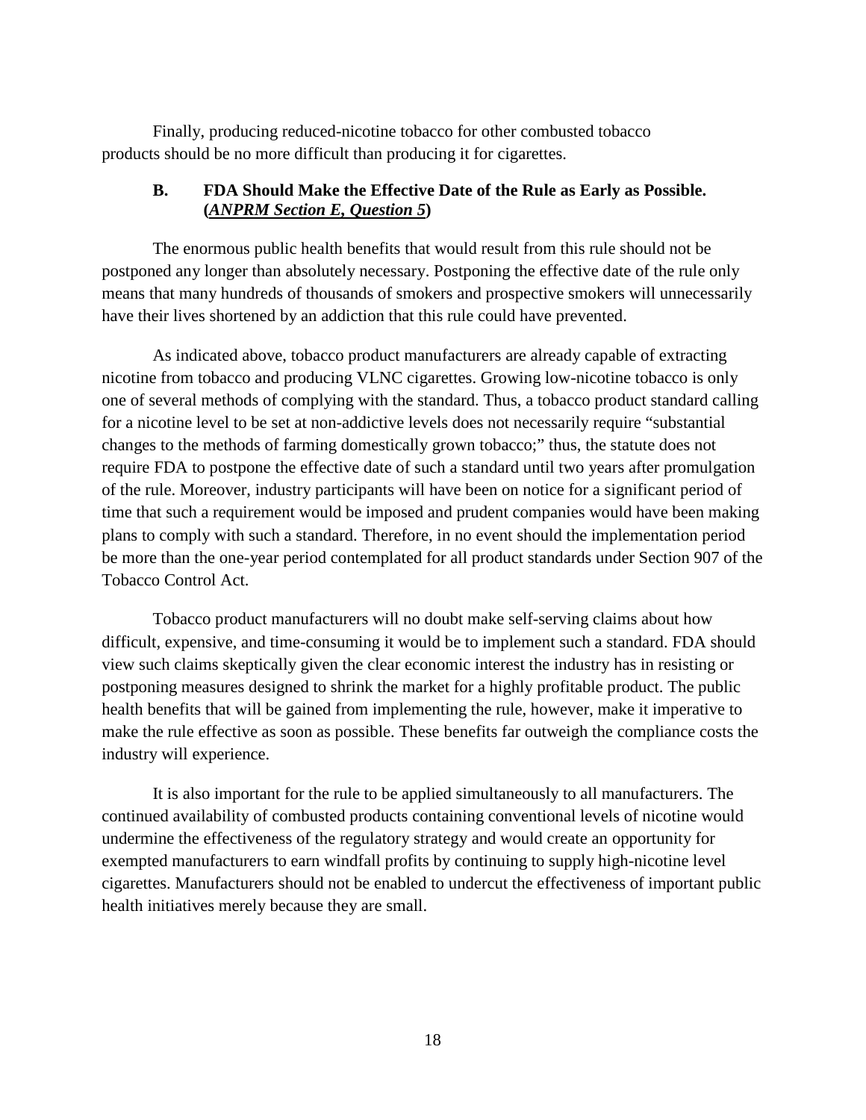Finally, producing reduced-nicotine tobacco for other combusted tobacco products should be no more difficult than producing it for cigarettes.

#### **B. FDA Should Make the Effective Date of the Rule as Early as Possible. (***ANPRM Section E, Question 5***)**

The enormous public health benefits that would result from this rule should not be postponed any longer than absolutely necessary. Postponing the effective date of the rule only means that many hundreds of thousands of smokers and prospective smokers will unnecessarily have their lives shortened by an addiction that this rule could have prevented.

As indicated above, tobacco product manufacturers are already capable of extracting nicotine from tobacco and producing VLNC cigarettes. Growing low-nicotine tobacco is only one of several methods of complying with the standard. Thus, a tobacco product standard calling for a nicotine level to be set at non-addictive levels does not necessarily require "substantial changes to the methods of farming domestically grown tobacco;" thus, the statute does not require FDA to postpone the effective date of such a standard until two years after promulgation of the rule. Moreover, industry participants will have been on notice for a significant period of time that such a requirement would be imposed and prudent companies would have been making plans to comply with such a standard. Therefore, in no event should the implementation period be more than the one-year period contemplated for all product standards under Section 907 of the Tobacco Control Act.

Tobacco product manufacturers will no doubt make self-serving claims about how difficult, expensive, and time-consuming it would be to implement such a standard. FDA should view such claims skeptically given the clear economic interest the industry has in resisting or postponing measures designed to shrink the market for a highly profitable product. The public health benefits that will be gained from implementing the rule, however, make it imperative to make the rule effective as soon as possible. These benefits far outweigh the compliance costs the industry will experience.

It is also important for the rule to be applied simultaneously to all manufacturers. The continued availability of combusted products containing conventional levels of nicotine would undermine the effectiveness of the regulatory strategy and would create an opportunity for exempted manufacturers to earn windfall profits by continuing to supply high-nicotine level cigarettes. Manufacturers should not be enabled to undercut the effectiveness of important public health initiatives merely because they are small.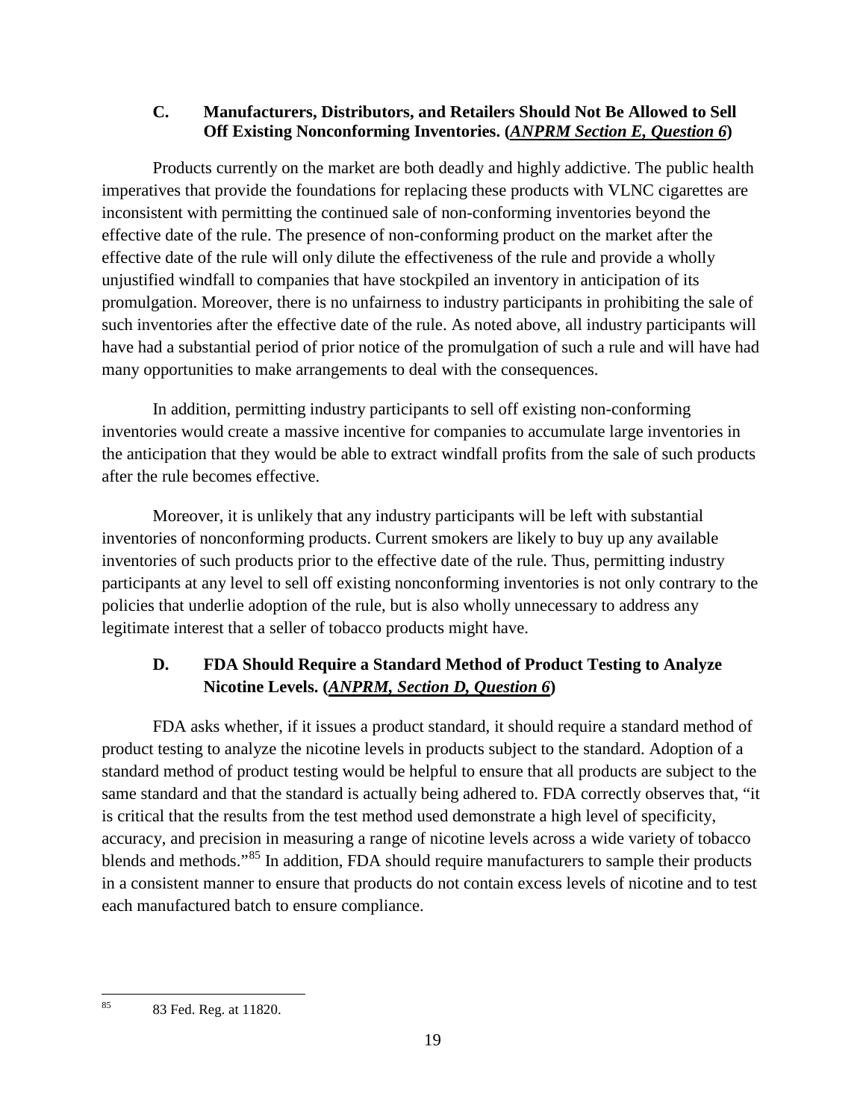# **C. Manufacturers, Distributors, and Retailers Should Not Be Allowed to Sell Off Existing Nonconforming Inventories. (***ANPRM Section E, Question 6***)**

Products currently on the market are both deadly and highly addictive. The public health imperatives that provide the foundations for replacing these products with VLNC cigarettes are inconsistent with permitting the continued sale of non-conforming inventories beyond the effective date of the rule. The presence of non-conforming product on the market after the effective date of the rule will only dilute the effectiveness of the rule and provide a wholly unjustified windfall to companies that have stockpiled an inventory in anticipation of its promulgation. Moreover, there is no unfairness to industry participants in prohibiting the sale of such inventories after the effective date of the rule. As noted above, all industry participants will have had a substantial period of prior notice of the promulgation of such a rule and will have had many opportunities to make arrangements to deal with the consequences.

In addition, permitting industry participants to sell off existing non-conforming inventories would create a massive incentive for companies to accumulate large inventories in the anticipation that they would be able to extract windfall profits from the sale of such products after the rule becomes effective.

Moreover, it is unlikely that any industry participants will be left with substantial inventories of nonconforming products. Current smokers are likely to buy up any available inventories of such products prior to the effective date of the rule. Thus, permitting industry participants at any level to sell off existing nonconforming inventories is not only contrary to the policies that underlie adoption of the rule, but is also wholly unnecessary to address any legitimate interest that a seller of tobacco products might have.

# **D. FDA Should Require a Standard Method of Product Testing to Analyze Nicotine Levels. (***ANPRM, Section D, Question 6***)**

FDA asks whether, if it issues a product standard, it should require a standard method of product testing to analyze the nicotine levels in products subject to the standard. Adoption of a standard method of product testing would be helpful to ensure that all products are subject to the same standard and that the standard is actually being adhered to. FDA correctly observes that, "it is critical that the results from the test method used demonstrate a high level of specificity, accuracy, and precision in measuring a range of nicotine levels across a wide variety of tobacco blends and methods."<sup>[85](#page-18-0)</sup> In addition, FDA should require manufacturers to sample their products in a consistent manner to ensure that products do not contain excess levels of nicotine and to test each manufactured batch to ensure compliance.

<span id="page-18-0"></span><sup>85</sup> 83 Fed. Reg. at 11820.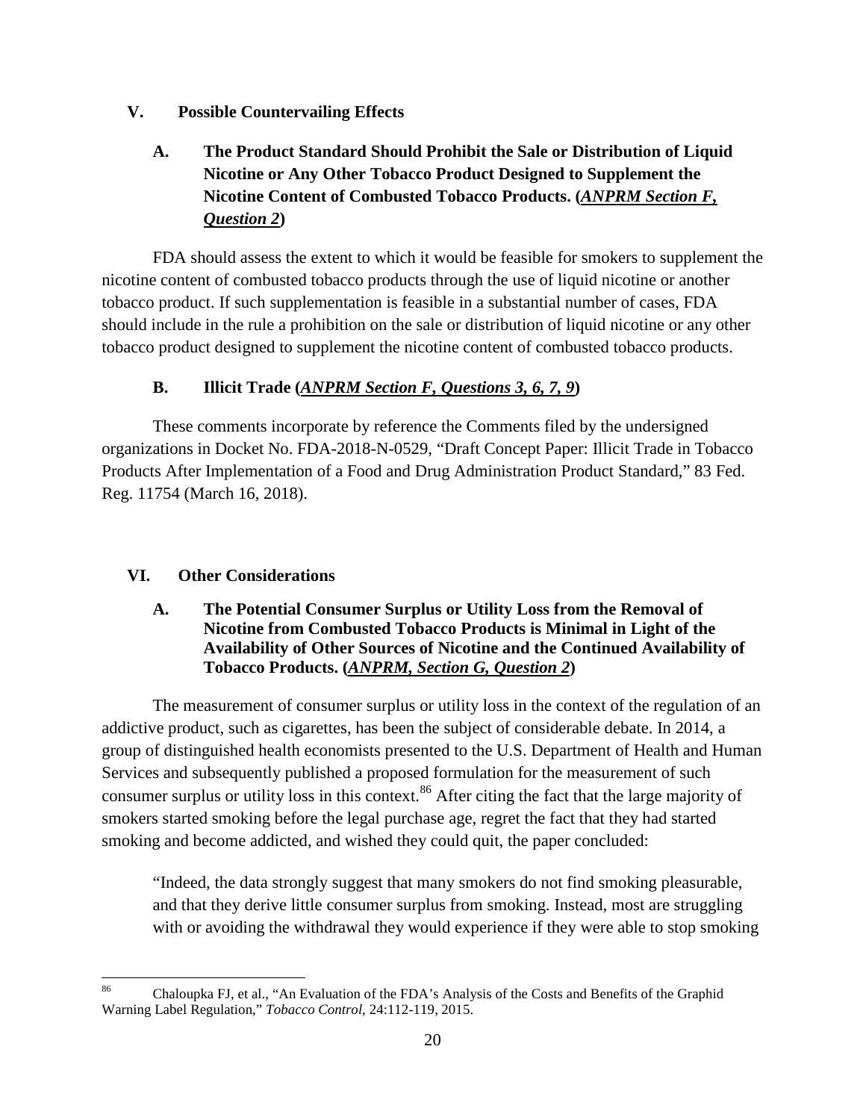# **V. Possible Countervailing Effects**

# **A. The Product Standard Should Prohibit the Sale or Distribution of Liquid Nicotine or Any Other Tobacco Product Designed to Supplement the Nicotine Content of Combusted Tobacco Products. (***ANPRM Section F, Question 2***)**

FDA should assess the extent to which it would be feasible for smokers to supplement the nicotine content of combusted tobacco products through the use of liquid nicotine or another tobacco product. If such supplementation is feasible in a substantial number of cases, FDA should include in the rule a prohibition on the sale or distribution of liquid nicotine or any other tobacco product designed to supplement the nicotine content of combusted tobacco products.

# **B. Illicit Trade (***ANPRM Section F, Questions 3, 6, 7, 9***)**

These comments incorporate by reference the Comments filed by the undersigned organizations in Docket No. FDA-2018-N-0529, "Draft Concept Paper: Illicit Trade in Tobacco Products After Implementation of a Food and Drug Administration Product Standard," 83 Fed. Reg. 11754 (March 16, 2018).

# **VI. Other Considerations**

## **A. The Potential Consumer Surplus or Utility Loss from the Removal of Nicotine from Combusted Tobacco Products is Minimal in Light of the Availability of Other Sources of Nicotine and the Continued Availability of Tobacco Products. (***ANPRM, Section G, Question 2***)**

The measurement of consumer surplus or utility loss in the context of the regulation of an addictive product, such as cigarettes, has been the subject of considerable debate. In 2014, a group of distinguished health economists presented to the U.S. Department of Health and Human Services and subsequently published a proposed formulation for the measurement of such consumer surplus or utility loss in this context.<sup>[86](#page-19-0)</sup> After citing the fact that the large majority of smokers started smoking before the legal purchase age, regret the fact that they had started smoking and become addicted, and wished they could quit, the paper concluded:

"Indeed, the data strongly suggest that many smokers do not find smoking pleasurable, and that they derive little consumer surplus from smoking. Instead, most are struggling with or avoiding the withdrawal they would experience if they were able to stop smoking

<span id="page-19-0"></span><sup>86</sup> Chaloupka FJ, et al., "An Evaluation of the FDA's Analysis of the Costs and Benefits of the Graphid Warning Label Regulation," *Tobacco Control*, 24:112-119, 2015.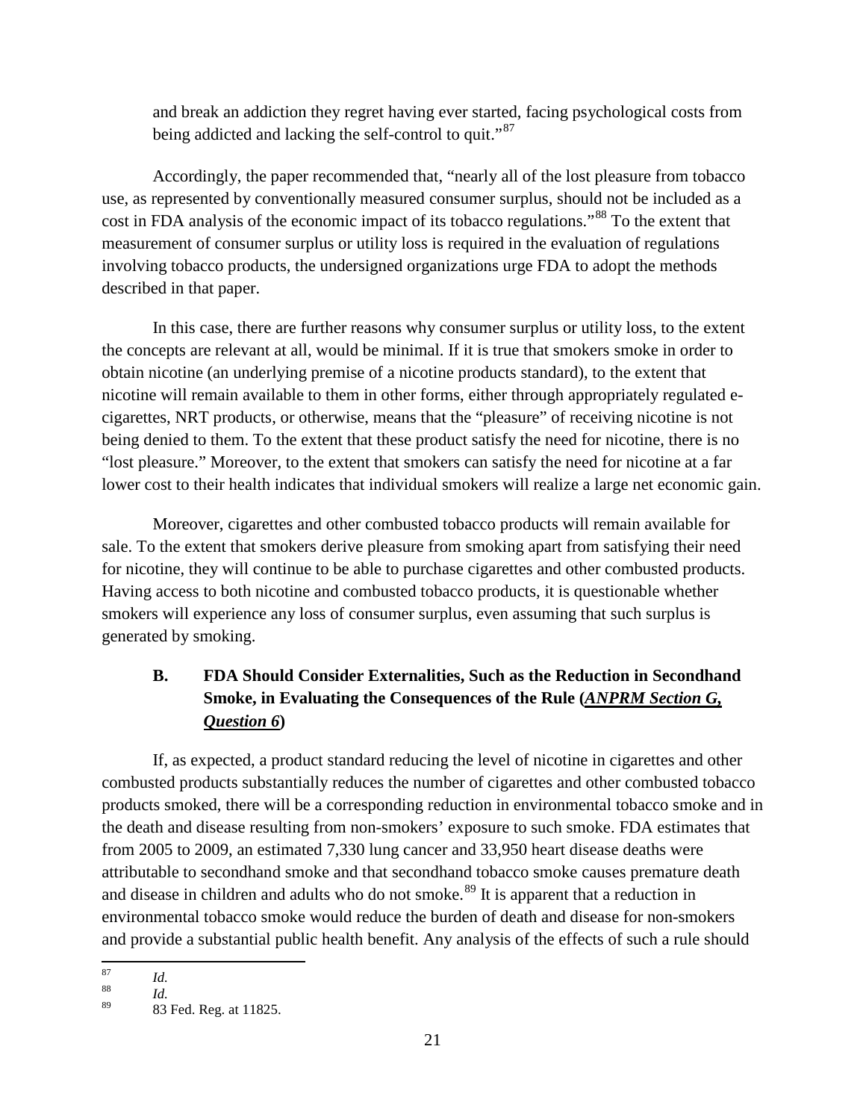and break an addiction they regret having ever started, facing psychological costs from being addicted and lacking the self-control to quit."<sup>[87](#page-20-0)</sup>

Accordingly, the paper recommended that, "nearly all of the lost pleasure from tobacco use, as represented by conventionally measured consumer surplus, should not be included as a cost in FDA analysis of the economic impact of its tobacco regulations."<sup>[88](#page-20-1)</sup> To the extent that measurement of consumer surplus or utility loss is required in the evaluation of regulations involving tobacco products, the undersigned organizations urge FDA to adopt the methods described in that paper.

In this case, there are further reasons why consumer surplus or utility loss, to the extent the concepts are relevant at all, would be minimal. If it is true that smokers smoke in order to obtain nicotine (an underlying premise of a nicotine products standard), to the extent that nicotine will remain available to them in other forms, either through appropriately regulated ecigarettes, NRT products, or otherwise, means that the "pleasure" of receiving nicotine is not being denied to them. To the extent that these product satisfy the need for nicotine, there is no "lost pleasure." Moreover, to the extent that smokers can satisfy the need for nicotine at a far lower cost to their health indicates that individual smokers will realize a large net economic gain.

Moreover, cigarettes and other combusted tobacco products will remain available for sale. To the extent that smokers derive pleasure from smoking apart from satisfying their need for nicotine, they will continue to be able to purchase cigarettes and other combusted products. Having access to both nicotine and combusted tobacco products, it is questionable whether smokers will experience any loss of consumer surplus, even assuming that such surplus is generated by smoking.

# **B. FDA Should Consider Externalities, Such as the Reduction in Secondhand Smoke, in Evaluating the Consequences of the Rule (***ANPRM Section G, Question 6***)**

If, as expected, a product standard reducing the level of nicotine in cigarettes and other combusted products substantially reduces the number of cigarettes and other combusted tobacco products smoked, there will be a corresponding reduction in environmental tobacco smoke and in the death and disease resulting from non-smokers' exposure to such smoke. FDA estimates that from 2005 to 2009, an estimated 7,330 lung cancer and 33,950 heart disease deaths were attributable to secondhand smoke and that secondhand tobacco smoke causes premature death and disease in children and adults who do not smoke.<sup>[89](#page-20-2)</sup> It is apparent that a reduction in environmental tobacco smoke would reduce the burden of death and disease for non-smokers and provide a substantial public health benefit. Any analysis of the effects of such a rule should

<span id="page-20-0"></span>

<sup>87</sup> *Id.* <sup>88</sup> *Id.*

<span id="page-20-2"></span><span id="page-20-1"></span><sup>89</sup> 83 Fed. Reg. at 11825.